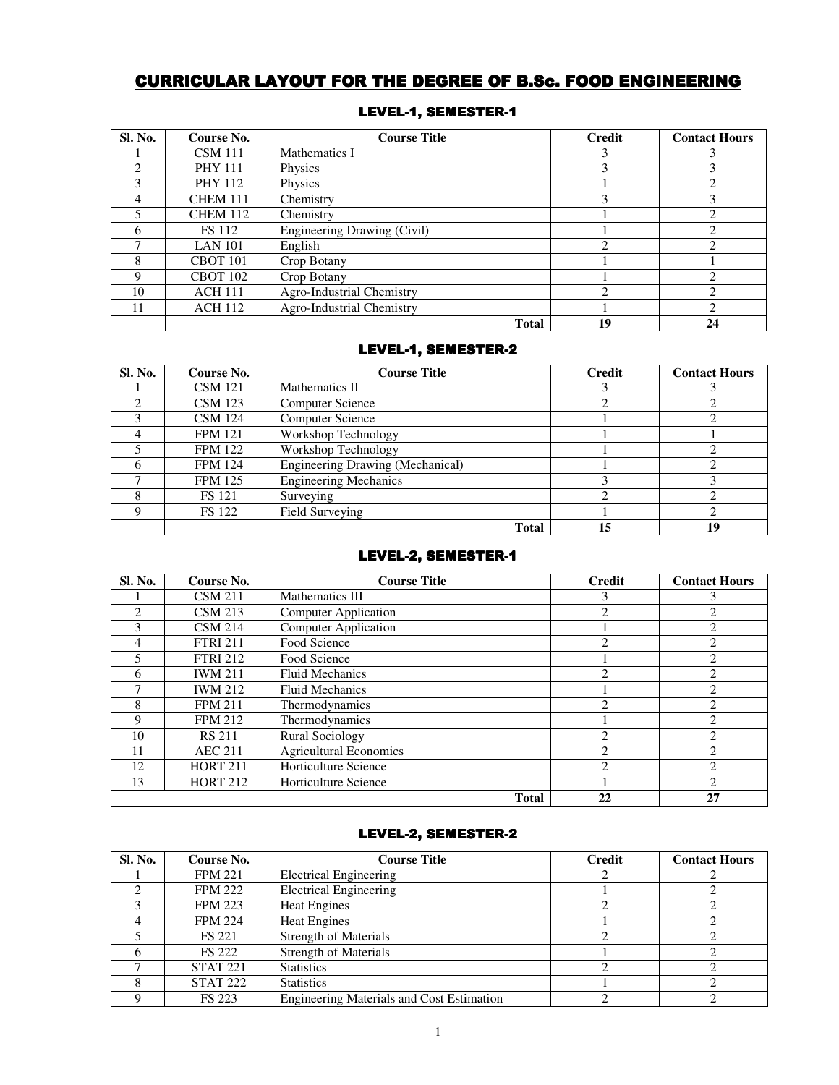# CURRICULAR LAYOUT FOR THE DEGREE OF B.Sc. FOOD ENGINEERING

| <b>Sl. No.</b>              | Course No.      | <b>Course Title</b>         | <b>Credit</b> | <b>Contact Hours</b>                                                                                                                                            |
|-----------------------------|-----------------|-----------------------------|---------------|-----------------------------------------------------------------------------------------------------------------------------------------------------------------|
|                             | <b>CSM</b> 111  | Mathematics I               | 3             |                                                                                                                                                                 |
| $\mathcal{D}_{\mathcal{A}}$ | <b>PHY 111</b>  | Physics                     | 3             | 3                                                                                                                                                               |
| 3                           | <b>PHY 112</b>  | Physics                     |               | $\overline{c}$                                                                                                                                                  |
| 4                           | <b>CHEM 111</b> | Chemistry                   | 3             | 3                                                                                                                                                               |
|                             | <b>CHEM 112</b> | Chemistry                   |               | $\mathcal{D}_{\mathcal{L}}^{\mathcal{L}}(\mathcal{L})=\mathcal{L}_{\mathcal{L}}^{\mathcal{L}}(\mathcal{L})\mathcal{L}_{\mathcal{L}}^{\mathcal{L}}(\mathcal{L})$ |
| h                           | <b>FS</b> 112   | Engineering Drawing (Civil) |               | $\mathcal{D}_{\mathcal{L}}^{\mathcal{L}}(\mathcal{L})=\mathcal{L}_{\mathcal{L}}^{\mathcal{L}}(\mathcal{L})\mathcal{L}_{\mathcal{L}}^{\mathcal{L}}(\mathcal{L})$ |
|                             | <b>LAN 101</b>  | English                     | റ             | ◠                                                                                                                                                               |
| 8                           | <b>CBOT 101</b> | Crop Botany                 |               |                                                                                                                                                                 |
| Q                           | <b>CBOT 102</b> | Crop Botany                 |               | റ                                                                                                                                                               |
| 10                          | <b>ACH 111</b>  | Agro-Industrial Chemistry   | റ             | $\overline{c}$                                                                                                                                                  |
| 11                          | <b>ACH 112</b>  | Agro-Industrial Chemistry   |               | C                                                                                                                                                               |
|                             |                 | <b>Total</b>                | 19            | 24                                                                                                                                                              |

### LEVEL-1, SEMESTER-1

# LEVEL-1, SEMESTER-2

| <b>Sl. No.</b> | Course No.     | <b>Course Title</b>              | <b>Credit</b> | <b>Contact Hours</b> |
|----------------|----------------|----------------------------------|---------------|----------------------|
|                | <b>CSM</b> 121 | Mathematics II                   |               |                      |
|                | <b>CSM</b> 123 | <b>Computer Science</b>          |               |                      |
|                | <b>CSM</b> 124 | <b>Computer Science</b>          |               |                      |
|                | <b>FPM 121</b> | Workshop Technology              |               |                      |
|                | <b>FPM 122</b> | Workshop Technology              |               |                      |
|                | <b>FPM 124</b> | Engineering Drawing (Mechanical) |               |                      |
|                | <b>FPM 125</b> | <b>Engineering Mechanics</b>     |               |                      |
|                | <b>FS</b> 121  | Surveying                        |               |                      |
|                | <b>FS</b> 122  | Field Surveying                  |               |                      |
|                |                | <b>Total</b>                     | 15            | 19                   |

### LEVEL-2, SEMESTER-1

| <b>Sl. No.</b> | Course No.      | <b>Course Title</b>           | Credit         | <b>Contact Hours</b>    |
|----------------|-----------------|-------------------------------|----------------|-------------------------|
|                | <b>CSM 211</b>  | Mathematics III               | 3              |                         |
| C              | <b>CSM 213</b>  | <b>Computer Application</b>   | $\mathfrak{D}$ | $\mathcal{D}_{1}^{(1)}$ |
| 3              | <b>CSM 214</b>  | <b>Computer Application</b>   |                | $\overline{c}$          |
| 4              | <b>FTRI 211</b> | Food Science                  | $\mathfrak{D}$ | $\overline{2}$          |
|                | <b>FTRI 212</b> | Food Science                  |                | $\overline{2}$          |
| 6              | <b>IWM 211</b>  | <b>Fluid Mechanics</b>        | $\mathfrak{D}$ | $\overline{c}$          |
|                | <b>IWM 212</b>  | <b>Fluid Mechanics</b>        |                | $\overline{c}$          |
| 8              | <b>FPM 211</b>  | Thermodynamics                | $\overline{c}$ | $\overline{2}$          |
| 9              | <b>FPM 212</b>  | Thermodynamics                |                | $\overline{2}$          |
| 10             | <b>RS 211</b>   | <b>Rural Sociology</b>        | $\mathfrak{D}$ | $\mathcal{D}$           |
| 11             | <b>AEC 211</b>  | <b>Agricultural Economics</b> | $\mathfrak{D}$ | $\mathfrak{D}$          |
| 12             | <b>HORT 211</b> | Horticulture Science          | $\mathcal{D}$  | $\mathcal{D}$           |
| 13             | <b>HORT 212</b> | Horticulture Science          |                | $\mathcal{D}$           |
|                |                 | <b>Total</b>                  | 22             | 27                      |

### LEVEL-2, SEMESTER-2

| Sl. No. | Course No.      | <b>Course Title</b>                              | <b>Credit</b> | <b>Contact Hours</b> |
|---------|-----------------|--------------------------------------------------|---------------|----------------------|
|         | <b>FPM 221</b>  | Electrical Engineering                           |               |                      |
|         | <b>FPM 222</b>  | <b>Electrical Engineering</b>                    |               |                      |
|         | <b>FPM 223</b>  | <b>Heat Engines</b>                              |               |                      |
|         | <b>FPM 224</b>  | <b>Heat Engines</b>                              |               |                      |
|         | <b>FS 221</b>   | <b>Strength of Materials</b>                     |               |                      |
|         | <b>FS 222</b>   | <b>Strength of Materials</b>                     |               |                      |
|         | <b>STAT 221</b> | <b>Statistics</b>                                |               |                      |
|         | <b>STAT 222</b> | <b>Statistics</b>                                |               |                      |
|         | <b>FS 223</b>   | <b>Engineering Materials and Cost Estimation</b> |               |                      |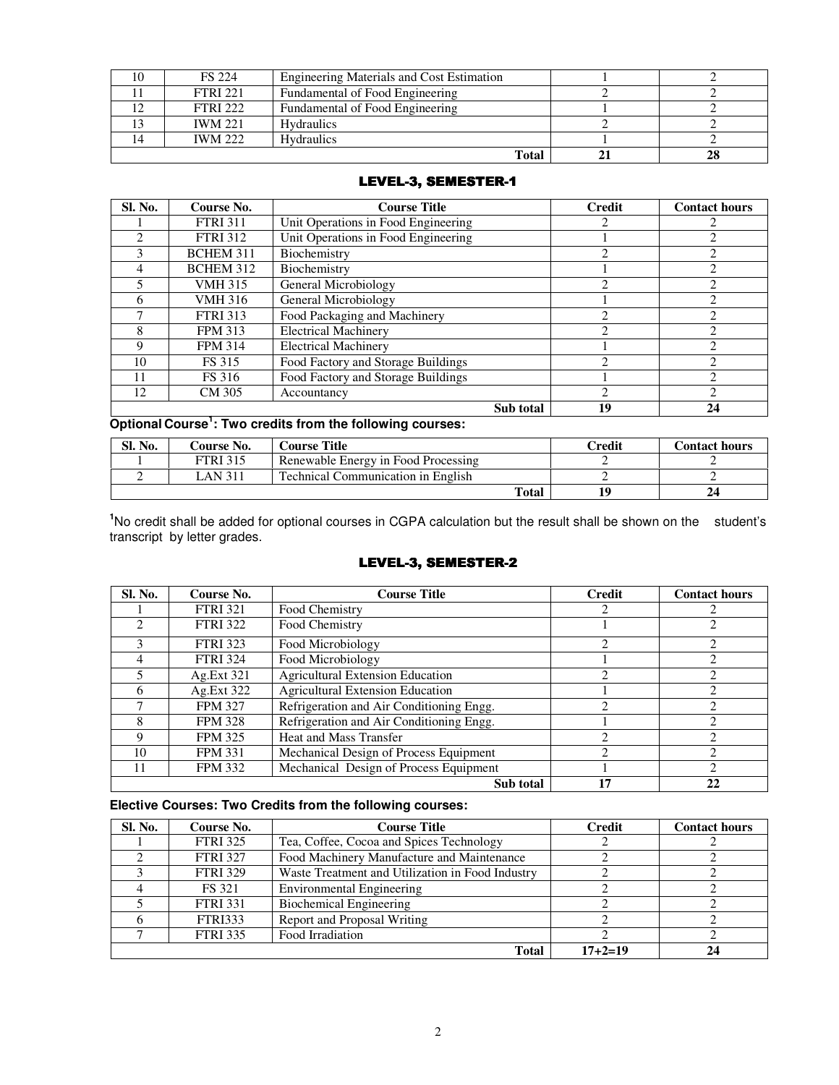| <b>FS 224</b>   | <b>Engineering Materials and Cost Estimation</b> |    |
|-----------------|--------------------------------------------------|----|
| <b>FTRI 221</b> | Fundamental of Food Engineering                  |    |
| <b>FTRI 222</b> | Fundamental of Food Engineering                  |    |
| <b>IWM 221</b>  | <b>Hydraulics</b>                                |    |
| <b>IWM 222</b>  | <b>Hydraulics</b>                                |    |
|                 | Total                                            | 28 |

### LEVEL-3, SEMESTER-1

| Sl. No. | Course No.       | <b>Course Title</b>                 | <b>Credit</b>                                                                                                                                                   | <b>Contact hours</b>                                                                                                                                            |
|---------|------------------|-------------------------------------|-----------------------------------------------------------------------------------------------------------------------------------------------------------------|-----------------------------------------------------------------------------------------------------------------------------------------------------------------|
|         | <b>FTRI 311</b>  | Unit Operations in Food Engineering | $\mathcal{D}_{\mathcal{L}}^{\mathcal{L}}(\mathcal{L})=\mathcal{L}_{\mathcal{L}}^{\mathcal{L}}(\mathcal{L})\mathcal{L}_{\mathcal{L}}^{\mathcal{L}}(\mathcal{L})$ |                                                                                                                                                                 |
|         | <b>FTRI 312</b>  | Unit Operations in Food Engineering |                                                                                                                                                                 | $\mathcal{D}_{\mathcal{L}}^{\mathcal{L}}(\mathcal{L})=\mathcal{L}_{\mathcal{L}}^{\mathcal{L}}(\mathcal{L})\mathcal{L}_{\mathcal{L}}^{\mathcal{L}}(\mathcal{L})$ |
| ٩       | <b>BCHEM 311</b> | Biochemistry                        | 2                                                                                                                                                               | $\overline{c}$                                                                                                                                                  |
| 4       | <b>BCHEM 312</b> | Biochemistry                        |                                                                                                                                                                 | $\mathfrak{D}_{\mathfrak{p}}$                                                                                                                                   |
|         | <b>VMH 315</b>   | General Microbiology                | $\mathcal{D}_{\mathcal{L}}$                                                                                                                                     | റ                                                                                                                                                               |
| 6       | <b>VMH 316</b>   | General Microbiology                |                                                                                                                                                                 | $\mathcal{D}_{\mathcal{L}}^{\mathcal{L}}(\mathcal{L})=\mathcal{L}_{\mathcal{L}}^{\mathcal{L}}(\mathcal{L})\mathcal{L}_{\mathcal{L}}^{\mathcal{L}}(\mathcal{L})$ |
|         | <b>FTRI 313</b>  | Food Packaging and Machinery        | $\mathfrak{D}_{\mathfrak{p}}$                                                                                                                                   | $\mathcal{D}_{\mathcal{L}}$                                                                                                                                     |
| 8       | <b>FPM 313</b>   | <b>Electrical Machinery</b>         | $\mathcal{D}_{\mathcal{A}}$                                                                                                                                     | C                                                                                                                                                               |
| Q       | <b>FPM 314</b>   | <b>Electrical Machinery</b>         |                                                                                                                                                                 | $\mathfrak{D}_{\mathfrak{p}}$                                                                                                                                   |
| 10      | <b>FS 315</b>    | Food Factory and Storage Buildings  | $\mathcal{D}_{\mathcal{L}}$                                                                                                                                     | $\mathfrak{D}_{\mathfrak{p}}$                                                                                                                                   |
|         | <b>FS</b> 316    | Food Factory and Storage Buildings  |                                                                                                                                                                 | റ                                                                                                                                                               |
| 12      | <b>CM 305</b>    | Accountancy                         | $\mathcal{D}_{\mathcal{L}}$                                                                                                                                     | ↑                                                                                                                                                               |
|         |                  | Sub total                           | 19                                                                                                                                                              | 24                                                                                                                                                              |

### **Optional Course<sup>1</sup> : Two credits from the following courses:**

| Sl. No. | Course No.      | <b>Course Title</b>                       | Credit | <b>Contact hours</b> |
|---------|-----------------|-------------------------------------------|--------|----------------------|
|         | <b>FTRI 315</b> | Renewable Energy in Food Processing       |        |                      |
|         | LAN 311         | <b>Technical Communication in English</b> |        |                      |
|         |                 | Total                                     | 10     |                      |

<sup>1</sup>No credit shall be added for optional courses in CGPA calculation but the result shall be shown on the student's transcript by letter grades.

### LEVEL-3, SEMESTER-2

| Sl. No. | Course No.      | <b>Course Title</b>                      | <b>Credit</b>               | <b>Contact hours</b> |
|---------|-----------------|------------------------------------------|-----------------------------|----------------------|
|         | <b>FTRI 321</b> | Food Chemistry                           |                             |                      |
|         | <b>FTRI 322</b> | Food Chemistry                           |                             |                      |
| 3       | <b>FTRI 323</b> | Food Microbiology                        | $\mathcal{D}_{\mathcal{L}}$ | ∍                    |
| 4       | <b>FTRI 324</b> | Food Microbiology                        |                             | ∍                    |
|         | Ag.Ext 321      | <b>Agricultural Extension Education</b>  | 2                           | $\mathfrak{D}$       |
| 6       | Ag.Ext 322      | <b>Agricultural Extension Education</b>  |                             |                      |
|         | <b>FPM 327</b>  | Refrigeration and Air Conditioning Engg. |                             |                      |
| 8       | <b>FPM 328</b>  | Refrigeration and Air Conditioning Engg. |                             | ◠                    |
| 9       | <b>FPM 325</b>  | <b>Heat and Mass Transfer</b>            |                             |                      |
| 10      | <b>FPM 331</b>  | Mechanical Design of Process Equipment   | ◠                           | ∍                    |
|         | <b>FPM 332</b>  | Mechanical Design of Process Equipment   |                             | ി                    |
|         |                 | Sub total                                | 17                          | 22                   |

### **Elective Courses: Two Credits from the following courses:**

| Sl. No. | Course No.      | <b>Course Title</b>                              | <b>Credit</b> | <b>Contact hours</b> |
|---------|-----------------|--------------------------------------------------|---------------|----------------------|
|         | <b>FTRI 325</b> | Tea, Coffee, Cocoa and Spices Technology         |               |                      |
|         | <b>FTRI 327</b> | Food Machinery Manufacture and Maintenance       |               |                      |
|         | <b>FTRI 329</b> | Waste Treatment and Utilization in Food Industry |               |                      |
|         | <b>FS</b> 321   | Environmental Engineering                        |               |                      |
|         | <b>FTRI 331</b> | <b>Biochemical Engineering</b>                   |               |                      |
|         | <b>FTRI333</b>  | Report and Proposal Writing                      |               |                      |
|         | <b>FTRI 335</b> | Food Irradiation                                 |               |                      |
|         |                 | <b>Total</b>                                     | $17 + 2 = 19$ | 24                   |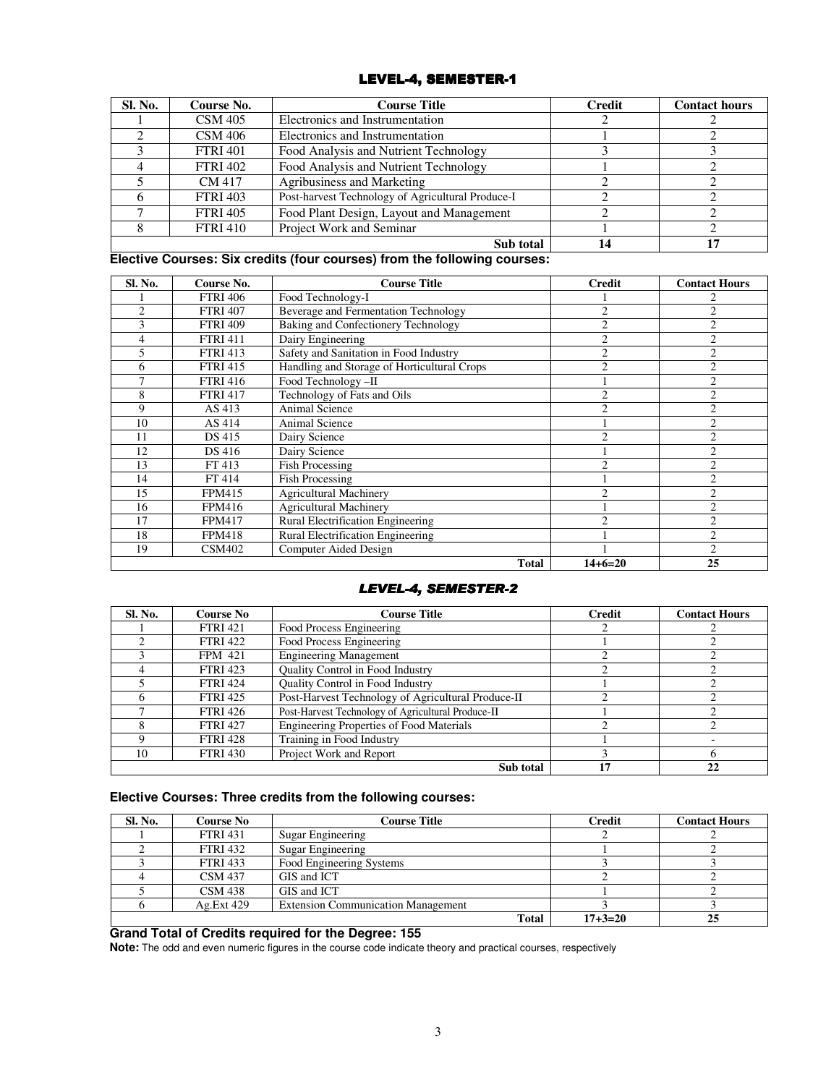# LEVEL-4, SEMESTER-1

| Sl. No. | Course No.      | <b>Course Title</b>                               | <b>Credit</b> | <b>Contact hours</b> |
|---------|-----------------|---------------------------------------------------|---------------|----------------------|
|         | <b>CSM 405</b>  | Electronics and Instrumentation                   |               |                      |
|         | <b>CSM 406</b>  | Electronics and Instrumentation                   |               |                      |
|         | <b>FTRI 401</b> | Food Analysis and Nutrient Technology             |               |                      |
|         | <b>FTRI 402</b> | Food Analysis and Nutrient Technology             |               |                      |
|         | CM 417          | Agribusiness and Marketing                        |               |                      |
|         | <b>FTRI 403</b> | Post-harvest Technology of Agricultural Produce-I |               |                      |
|         | <b>FTRI 405</b> | Food Plant Design, Layout and Management          |               |                      |
|         | <b>FTRI 410</b> | Project Work and Seminar                          |               |                      |
|         |                 | 14                                                |               |                      |

#### **Elective Courses: Six credits (four courses) from the following courses:**

| Sl. No.        | Course No.      | <b>Course Title</b>                         | <b>Credit</b>  | <b>Contact Hours</b>    |
|----------------|-----------------|---------------------------------------------|----------------|-------------------------|
|                | <b>FTRI 406</b> | Food Technology-I                           |                |                         |
| $\mathfrak{D}$ | <b>FTRI 407</b> | Beverage and Fermentation Technology        | $\overline{2}$ | $\mathcal{D}_{1}^{(1)}$ |
| 3              | <b>FTRI 409</b> | Baking and Confectionery Technology         | $\overline{2}$ | $\overline{c}$          |
| 4              | <b>FTRI 411</b> | Dairy Engineering                           | $\overline{c}$ | $\overline{2}$          |
| 5              | <b>FTRI 413</b> | Safety and Sanitation in Food Industry      | $\overline{2}$ | $\overline{2}$          |
| 6              | <b>FTRI 415</b> | Handling and Storage of Horticultural Crops | $\overline{2}$ | $\overline{2}$          |
| 7              | <b>FTRI 416</b> | Food Technology -II                         |                | $\overline{c}$          |
| 8              | <b>FTRI 417</b> | Technology of Fats and Oils                 | $\overline{2}$ | $\overline{c}$          |
| 9              | AS 413          | Animal Science                              | $\overline{c}$ | $\overline{2}$          |
| 10             | AS 414          | Animal Science                              |                | $\overline{c}$          |
| 11             | DS 415          | Dairy Science                               | $\mathfrak{D}$ | $\mathcal{D}_{1}^{(1)}$ |
| 12             | DS 416          | Dairy Science                               |                | $\overline{c}$          |
| 13             | FT 413          | <b>Fish Processing</b>                      | 2              | $\overline{c}$          |
| 14             | FT 414          | <b>Fish Processing</b>                      |                | $\overline{2}$          |
| 15             | <b>FPM415</b>   | <b>Agricultural Machinery</b>               | $\overline{c}$ | $\overline{c}$          |
| 16             | <b>FPM416</b>   | <b>Agricultural Machinery</b>               |                | $\overline{c}$          |
| 17             | <b>FPM417</b>   | Rural Electrification Engineering           | ↑              | $\overline{c}$          |
| 18             | <b>FPM418</b>   | Rural Electrification Engineering           |                | $\overline{2}$          |
| 19             | <b>CSM402</b>   | Computer Aided Design                       |                | $\mathcal{D}_{1}^{(1)}$ |
|                |                 | <b>Total</b>                                | $14+6=20$      | 25                      |

## LEVEL-4, SEMESTER-2

| Sl. No. | Course No       | <b>Course Title</b>                                | <b>Credit</b> | <b>Contact Hours</b> |
|---------|-----------------|----------------------------------------------------|---------------|----------------------|
|         | <b>FTRI 421</b> | Food Process Engineering                           |               |                      |
|         | <b>FTRI 422</b> | Food Process Engineering                           |               |                      |
|         | <b>FPM 421</b>  | <b>Engineering Management</b>                      |               |                      |
|         | <b>FTRI 423</b> | <b>Ouality Control in Food Industry</b>            |               |                      |
|         | <b>FTRI 424</b> | <b>Ouality Control in Food Industry</b>            |               |                      |
| n.      | <b>FTRI 425</b> | Post-Harvest Technology of Agricultural Produce-II |               |                      |
|         | <b>FTRI 426</b> | Post-Harvest Technology of Agricultural Produce-II |               |                      |
|         | <b>FTRI 427</b> | Engineering Properties of Food Materials           |               |                      |
|         | <b>FTRI 428</b> | Training in Food Industry                          |               |                      |
| 10      | <b>FTRI 430</b> | Project Work and Report                            |               |                      |
|         |                 | Sub total                                          | 17            | 22                   |

### **Elective Courses: Three credits from the following courses:**

| <b>Sl. No.</b> | <b>Course No</b> | <b>Course Title</b>                       | <b>Credit</b> | <b>Contact Hours</b> |
|----------------|------------------|-------------------------------------------|---------------|----------------------|
|                | <b>FTRI</b> 431  | Sugar Engineering                         |               |                      |
|                | <b>FTRI 432</b>  | Sugar Engineering                         |               |                      |
|                | <b>FTRI 433</b>  | Food Engineering Systems                  |               |                      |
|                | <b>CSM 437</b>   | GIS and ICT                               |               |                      |
|                | <b>CSM 438</b>   | GIS and ICT                               |               |                      |
|                | Ag.Ext 429       | <b>Extension Communication Management</b> |               |                      |
|                |                  | Total                                     | $17 + 3 = 20$ | 25                   |

#### **Grand Total of Credits required for the Degree: 155**

**Note:** The odd and even numeric figures in the course code indicate theory and practical courses, respectively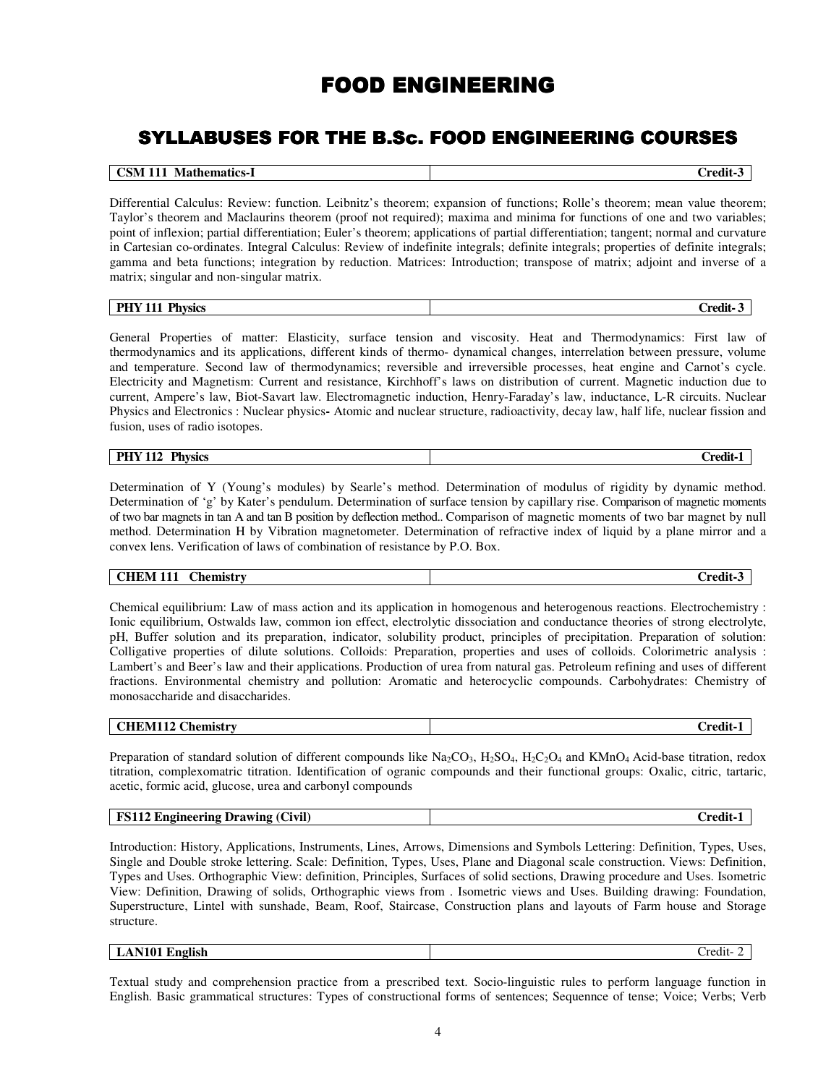# FOOD ENGINEERING

# SYLLABUSES FOR THE B.Sc. FOOD ENGINEERING COURSES

| <b>CSM 111 Mathematics-1</b> | $\emph{}$ redit- $\emph{.}$ |
|------------------------------|-----------------------------|

Differential Calculus: Review: function. Leibnitz's theorem; expansion of functions; Rolle's theorem; mean value theorem; Taylor's theorem and Maclaurins theorem (proof not required); maxima and minima for functions of one and two variables; point of inflexion; partial differentiation; Euler's theorem; applications of partial differentiation; tangent; normal and curvature in Cartesian co-ordinates. Integral Calculus: Review of indefinite integrals; definite integrals; properties of definite integrals; gamma and beta functions; integration by reduction. Matrices: Introduction; transpose of matrix; adjoint and inverse of a matrix; singular and non-singular matrix.

| <b>Physics</b><br><b>PHY 111</b> | $C$ redit- |
|----------------------------------|------------|
|----------------------------------|------------|

General Properties of matter: Elasticity, surface tension and viscosity. Heat and Thermodynamics: First law of thermodynamics and its applications, different kinds of thermo- dynamical changes, interrelation between pressure, volume and temperature. Second law of thermodynamics; reversible and irreversible processes, heat engine and Carnot's cycle. Electricity and Magnetism: Current and resistance, Kirchhoff's laws on distribution of current. Magnetic induction due to current, Ampere's law, Biot-Savart law. Electromagnetic induction, Henry-Faraday's law, inductance, L-R circuits. Nuclear Physics and Electronics : Nuclear physics**-** Atomic and nuclear structure, radioactivity, decay law, half life, nuclear fission and fusion, uses of radio isotopes.

# **PHY 112 Physics** Credit-1

Determination of Y (Young's modules) by Searle's method. Determination of modulus of rigidity by dynamic method. Determination of 'g' by Kater's pendulum. Determination of surface tension by capillary rise. Comparison of magnetic moments of two bar magnets in tan A and tan B position by deflection method.. Comparison of magnetic moments of two bar magnet by null method. Determination H by Vibration magnetometer. Determination of refractive index of liquid by a plane mirror and a convex lens. Verification of laws of combination of resistance by P.O. Box.

# **CHEM 111 Chemistry Credit-3**

Chemical equilibrium: Law of mass action and its application in homogenous and heterogenous reactions. Electrochemistry : Ionic equilibrium, Ostwalds law, common ion effect, electrolytic dissociation and conductance theories of strong electrolyte, pH, Buffer solution and its preparation, indicator, solubility product, principles of precipitation. Preparation of solution: Colligative properties of dilute solutions. Colloids: Preparation, properties and uses of colloids. Colorimetric analysis : Lambert's and Beer's law and their applications. Production of urea from natural gas. Petroleum refining and uses of different fractions. Environmental chemistry and pollution: Aromatic and heterocyclic compounds. Carbohydrates: Chemistry of monosaccharide and disaccharides.

| <b>CHEM112 Chemistry</b> | $\mathbf{r}$<br>-<br>-credit- |
|--------------------------|-------------------------------|
|--------------------------|-------------------------------|

Preparation of standard solution of different compounds like  $Na_2CO_3$ ,  $H_2SO_4$ ,  $H_2C_2O_4$  and KMnO<sub>4</sub> Acid-base titration, redox titration, complexomatric titration. Identification of ogranic compounds and their functional groups: Oxalic, citric, tartaric, acetic, formic acid, glucose, urea and carbonyl compounds

| <b>FS112 Engineering Drawing (Civil)</b> | redit : |
|------------------------------------------|---------|
|                                          |         |

Introduction: History, Applications, Instruments, Lines, Arrows, Dimensions and Symbols Lettering: Definition, Types, Uses, Single and Double stroke lettering. Scale: Definition, Types, Uses, Plane and Diagonal scale construction. Views: Definition, Types and Uses. Orthographic View: definition, Principles, Surfaces of solid sections, Drawing procedure and Uses. Isometric View: Definition, Drawing of solids, Orthographic views from . Isometric views and Uses. Building drawing: Foundation, Superstructure, Lintel with sunshade, Beam, Roof, Staircase, Construction plans and layouts of Farm house and Storage structure.

**LAN101 English Credit-2** 

Textual study and comprehension practice from a prescribed text. Socio-linguistic rules to perform language function in English. Basic grammatical structures: Types of constructional forms of sentences; Sequennce of tense; Voice; Verbs; Verb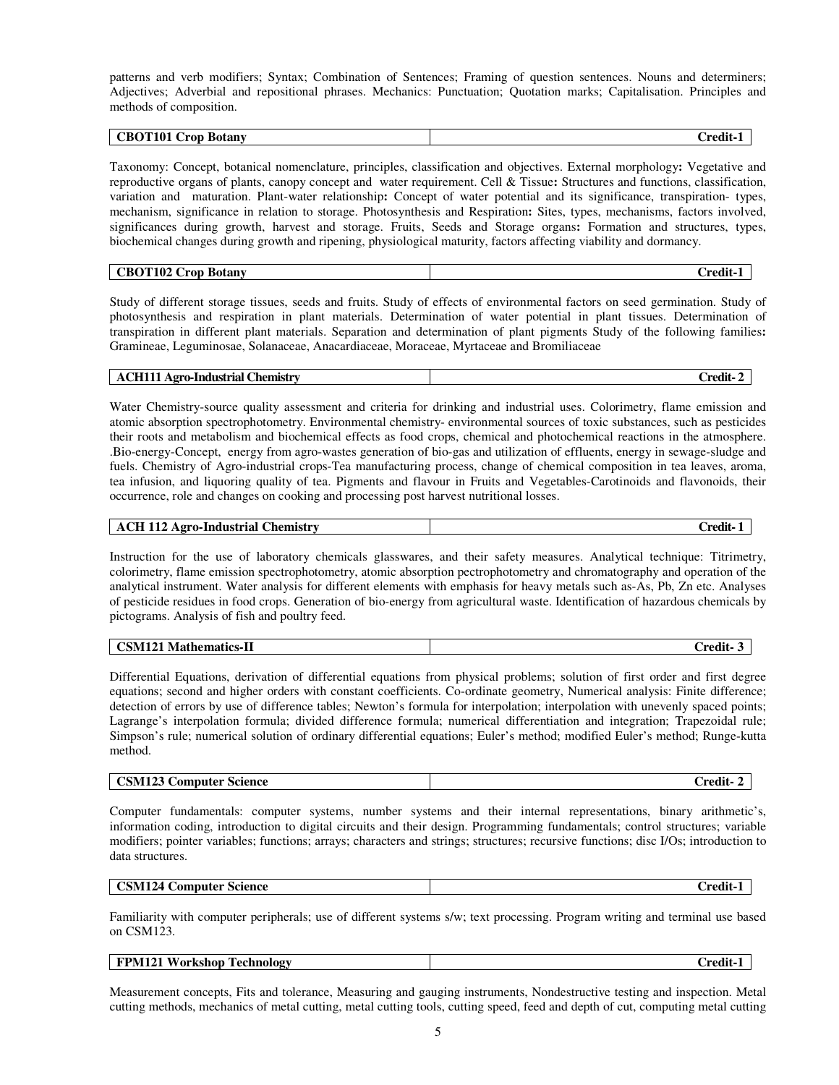patterns and verb modifiers; Syntax; Combination of Sentences; Framing of question sentences. Nouns and determiners; Adjectives; Adverbial and repositional phrases. Mechanics: Punctuation; Quotation marks; Capitalisation. Principles and methods of composition.

| OT101<br>`RC<br>Botany<br>rod | `rodi |
|-------------------------------|-------|

Taxonomy: Concept, botanical nomenclature, principles, classification and objectives. External morphology**:** Vegetative and reproductive organs of plants, canopy concept and water requirement. Cell & Tissue**:** Structures and functions, classification, variation and maturation. Plant-water relationship**:** Concept of water potential and its significance, transpiration- types, mechanism, significance in relation to storage. Photosynthesis and Respiration**:** Sites, types, mechanisms, factors involved, significances during growth, harvest and storage. Fruits, Seeds and Storage organs**:** Formation and structures, types, biochemical changes during growth and ripening, physiological maturity, factors affecting viability and dormancy.

| 110 <sup>o</sup><br>$\sqrt{ }$<br><b>Botany</b><br>`Kt<br>ron<br>'I 102<br>ັ | $\blacksquare$<br>`rodit |
|------------------------------------------------------------------------------|--------------------------|

Study of different storage tissues, seeds and fruits. Study of effects of environmental factors on seed germination. Study of photosynthesis and respiration in plant materials. Determination of water potential in plant tissues. Determination of transpiration in different plant materials. Separation and determination of plant pigments Study of the following families**:** Gramineae, Leguminosae, Solanaceae, Anacardiaceae, Moraceae, Myrtaceae and Bromiliaceae

| redit ( | <b>ACH111 Agro-Industrial Chemistry</b> |
|---------|-----------------------------------------|
|---------|-----------------------------------------|

Water Chemistry-source quality assessment and criteria for drinking and industrial uses. Colorimetry, flame emission and atomic absorption spectrophotometry. Environmental chemistry- environmental sources of toxic substances, such as pesticides their roots and metabolism and biochemical effects as food crops, chemical and photochemical reactions in the atmosphere. .Bio-energy-Concept, energy from agro-wastes generation of bio-gas and utilization of effluents, energy in sewage-sludge and fuels. Chemistry of Agro-industrial crops-Tea manufacturing process, change of chemical composition in tea leaves, aroma, tea infusion, and liquoring quality of tea. Pigments and flavour in Fruits and Vegetables-Carotinoids and flavonoids, their occurrence, role and changes on cooking and processing post harvest nutritional losses.

| <b>110</b><br>.`hemistrv<br>. Agro-Industrial .<br>A'<br>******** | <br>redit |
|-------------------------------------------------------------------|-----------|

Instruction for the use of laboratory chemicals glasswares, and their safety measures. Analytical technique: Titrimetry, colorimetry, flame emission spectrophotometry, atomic absorption pectrophotometry and chromatography and operation of the analytical instrument. Water analysis for different elements with emphasis for heavy metals such as-As, Pb, Zn etc. Analyses of pesticide residues in food crops. Generation of bio-energy from agricultural waste. Identification of hazardous chemicals by pictograms. Analysis of fish and poultry feed.

| $-$<br>81 A<br>'NN<br>tioc<br>N 91<br>'UCS-11<br>$\mathbf{L}$ | -<br>. modif |
|---------------------------------------------------------------|--------------|
|                                                               |              |

Differential Equations, derivation of differential equations from physical problems; solution of first order and first degree equations; second and higher orders with constant coefficients. Co-ordinate geometry, Numerical analysis: Finite difference; detection of errors by use of difference tables; Newton's formula for interpolation; interpolation with unevenly spaced points; Lagrange's interpolation formula; divided difference formula; numerical differentiation and integration; Trapezoidal rule; Simpson's rule; numerical solution of ordinary differential equations; Euler's method; modified Euler's method; Runge-kutta method.

| <b>CSM123 Computer Science</b> | redit- |
|--------------------------------|--------|
|                                |        |

Computer fundamentals: computer systems, number systems and their internal representations, binary arithmetic's, information coding, introduction to digital circuits and their design. Programming fundamentals; control structures; variable modifiers; pointer variables; functions; arrays; characters and strings; structures; recursive functions; disc I/Os; introduction to data structures.

| Science<br>.omputer<br>- 24 .<br>WH I<br>.<br>___<br>. | `rodi1<br>______ |
|--------------------------------------------------------|------------------|
|--------------------------------------------------------|------------------|

Familiarity with computer peripherals; use of different systems s/w; text processing. Program writing and terminal use based on CSM123.

| FPN<br>'M121<br>`echnology<br>or F<br>•kshon<br>$\sqrt{2}$<br>rv<br>. . | 1:4مت |
|-------------------------------------------------------------------------|-------|
|                                                                         |       |

Measurement concepts, Fits and tolerance, Measuring and gauging instruments, Nondestructive testing and inspection. Metal cutting methods, mechanics of metal cutting, metal cutting tools, cutting speed, feed and depth of cut, computing metal cutting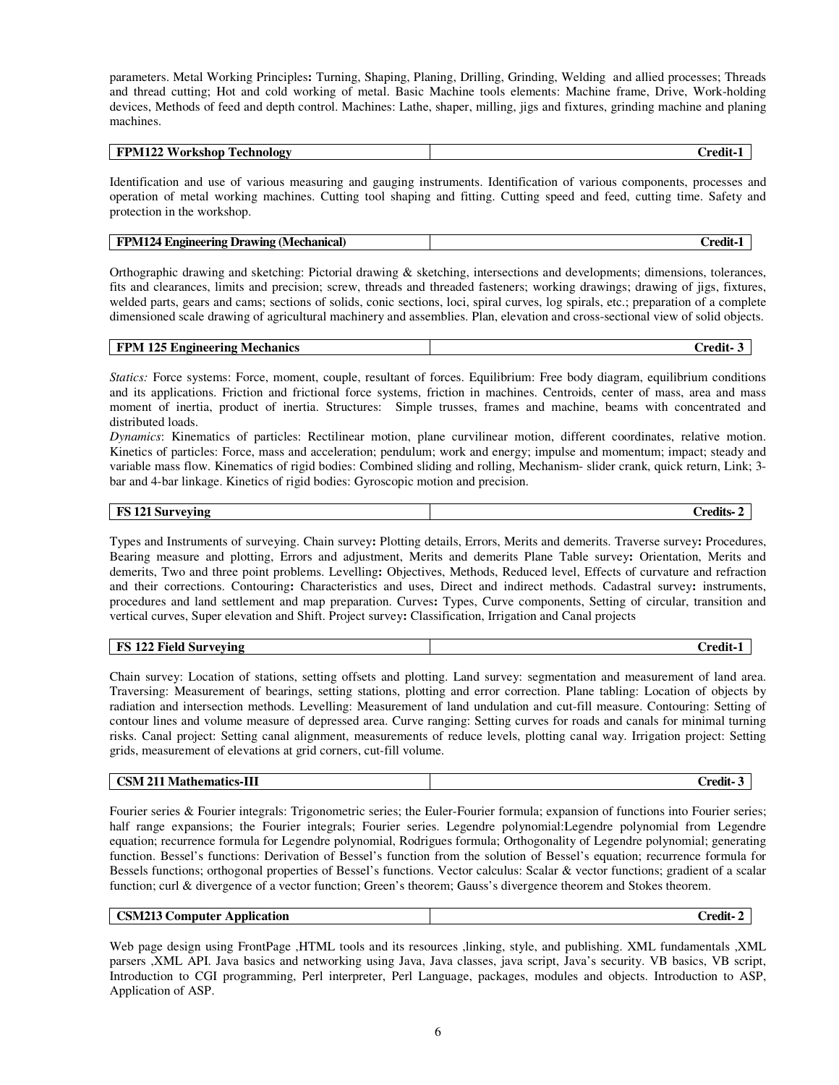parameters. Metal Working Principles**:** Turning, Shaping, Planing, Drilling, Grinding, Welding and allied processes; Threads and thread cutting; Hot and cold working of metal. Basic Machine tools elements: Machine frame, Drive, Work-holding devices, Methods of feed and depth control. Machines: Lathe, shaper, milling, jigs and fixtures, grinding machine and planing machines.

| Workshop<br><b>FPM122</b><br>Fechnology | $\bullet$<br>`rodi1 |
|-----------------------------------------|---------------------|
|                                         |                     |

Identification and use of various measuring and gauging instruments. Identification of various components, processes and operation of metal working machines. Cutting tool shaping and fitting. Cutting speed and feed, cutting time. Safety and protection in the workshop.

| 1124<br>FPM<br>! (Mechanical)<br>+ Engineering<br>. Drawing | <br>`redit-. |
|-------------------------------------------------------------|--------------|
|-------------------------------------------------------------|--------------|

Orthographic drawing and sketching: Pictorial drawing & sketching, intersections and developments; dimensions, tolerances, fits and clearances, limits and precision; screw, threads and threaded fasteners; working drawings; drawing of jigs, fixtures, welded parts, gears and cams; sections of solids, conic sections, loci, spiral curves, log spirals, etc.; preparation of a complete dimensioned scale drawing of agricultural machinery and assemblies. Plan, elevation and cross-sectional view of solid objects.

*Statics:* Force systems: Force, moment, couple, resultant of forces. Equilibrium: Free body diagram, equilibrium conditions and its applications. Friction and frictional force systems, friction in machines. Centroids, center of mass, area and mass moment of inertia, product of inertia. Structures: Simple trusses, frames and machine, beams with concentrated and distributed loads.

*Dynamics*: Kinematics of particles: Rectilinear motion, plane curvilinear motion, different coordinates, relative motion. Kinetics of particles: Force, mass and acceleration; pendulum; work and energy; impulse and momentum; impact; steady and variable mass flow. Kinematics of rigid bodies: Combined sliding and rolling, Mechanism- slider crank, quick return, Link; 3 bar and 4-bar linkage. Kinetics of rigid bodies: Gyroscopic motion and precision.

Types and Instruments of surveying. Chain survey**:** Plotting details, Errors, Merits and demerits. Traverse survey**:** Procedures, Bearing measure and plotting, Errors and adjustment, Merits and demerits Plane Table survey**:** Orientation, Merits and demerits, Two and three point problems. Levelling**:** Objectives, Methods, Reduced level, Effects of curvature and refraction and their corrections. Contouring**:** Characteristics and uses, Direct and indirect methods. Cadastral survey**:** instruments, procedures and land settlement and map preparation. Curves**:** Types, Curve components, Setting of circular, transition and vertical curves, Super elevation and Shift. Project survey**:** Classification, Irrigation and Canal projects

| 122 Field Surveying | `rodi1 |
|---------------------|--------|
| FS                  | w      |
|                     |        |

Chain survey: Location of stations, setting offsets and plotting. Land survey: segmentation and measurement of land area. Traversing: Measurement of bearings, setting stations, plotting and error correction. Plane tabling: Location of objects by radiation and intersection methods. Levelling: Measurement of land undulation and cut-fill measure. Contouring: Setting of contour lines and volume measure of depressed area. Curve ranging: Setting curves for roads and canals for minimal turning risks. Canal project: Setting canal alignment, measurements of reduce levels, plotting canal way. Irrigation project: Setting grids, measurement of elevations at grid corners, cut-fill volume.

| <b>CSM 211 Mathematics-III</b> | `redit- |
|--------------------------------|---------|
|                                |         |

Fourier series & Fourier integrals: Trigonometric series; the Euler-Fourier formula; expansion of functions into Fourier series; half range expansions; the Fourier integrals; Fourier series. Legendre polynomial:Legendre polynomial from Legendre equation; recurrence formula for Legendre polynomial, Rodrigues formula; Orthogonality of Legendre polynomial; generating function. Bessel's functions: Derivation of Bessel's function from the solution of Bessel's equation; recurrence formula for Bessels functions; orthogonal properties of Bessel's functions. Vector calculus: Scalar & vector functions; gradient of a scalar function; curl & divergence of a vector function; Green's theorem; Gauss's divergence theorem and Stokes theorem.

| <b>CSM213 Computer Application</b> | redit- |
|------------------------------------|--------|
|                                    |        |

Web page design using FrontPage ,HTML tools and its resources ,linking, style, and publishing. XML fundamentals ,XML parsers ,XML API. Java basics and networking using Java, Java classes, java script, Java's security. VB basics, VB script, Introduction to CGI programming, Perl interpreter, Perl Language, packages, modules and objects. Introduction to ASP, Application of ASP.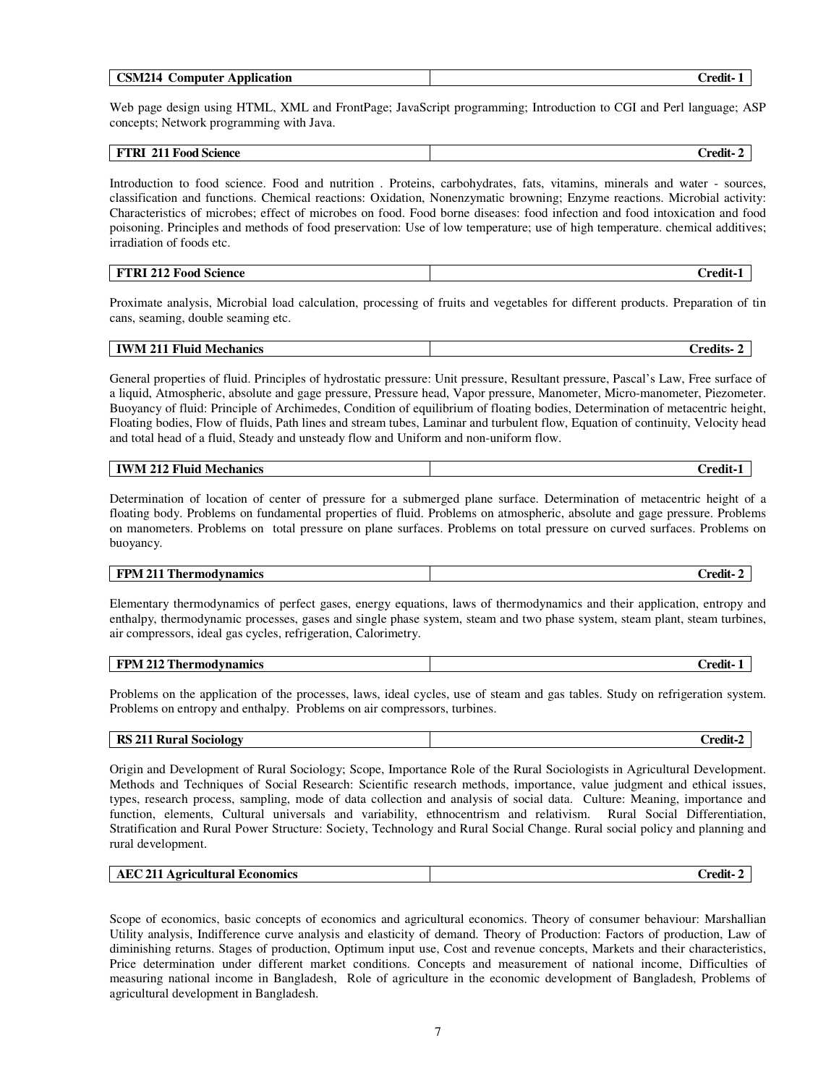| רומ<br>$\mathbf{r}$<br><b>Application</b><br>:omputer<br>214<br>'SM. | $\mathbf{H}$<br>∠redi† |
|----------------------------------------------------------------------|------------------------|
|                                                                      |                        |

Web page design using HTML, XML and FrontPage; JavaScript programming; Introduction to CGI and Perl language; ASP concepts; Network programming with Java.

| 71.<br>.<br><b>Food Science</b><br>41 L C<br>TIZT<br>ж. | ה היי |
|---------------------------------------------------------|-------|

Introduction to food science. Food and nutrition . Proteins, carbohydrates, fats, vitamins, minerals and water - sources, classification and functions. Chemical reactions: Oxidation, Nonenzymatic browning; Enzyme reactions. Microbial activity: Characteristics of microbes; effect of microbes on food. Food borne diseases: food infection and food intoxication and food poisoning. Principles and methods of food preservation: Use of low temperature; use of high temperature. chemical additives; irradiation of foods etc.

## **FTRI 212 Food Science** Credit-1

Proximate analysis, Microbial load calculation, processing of fruits and vegetables for different products. Preparation of tin cans, seaming, double seaming etc.

| тмж<br>$\mathbf{m}$<br>'N<br><b>Mechanics</b><br>Fluid<br>411<br>. | $\blacksquare$<br>`roditc<br>U cuns |
|--------------------------------------------------------------------|-------------------------------------|
|--------------------------------------------------------------------|-------------------------------------|

General properties of fluid. Principles of hydrostatic pressure: Unit pressure, Resultant pressure, Pascal's Law, Free surface of a liquid, Atmospheric, absolute and gage pressure, Pressure head, Vapor pressure, Manometer, Micro-manometer, Piezometer. Buoyancy of fluid: Principle of Archimedes, Condition of equilibrium of floating bodies, Determination of metacentric height, Floating bodies, Flow of fluids, Path lines and stream tubes, Laminar and turbulent flow, Equation of continuity, Velocity head and total head of a fluid, Steady and unsteady flow and Uniform and non-uniform flow.

| TV.<br>™luio ⊤<br><b>Mechanics</b><br>$^{\prime}$ N $/$<br>$\angle$ $\angle$ $\angle$ | 'nod<br>лп |
|---------------------------------------------------------------------------------------|------------|
|                                                                                       |            |

Determination of location of center of pressure for a submerged plane surface. Determination of metacentric height of a floating body. Problems on fundamental properties of fluid. Problems on atmospheric, absolute and gage pressure. Problems on manometers. Problems on total pressure on plane surfaces. Problems on total pressure on curved surfaces. Problems on buoyancy.

### **FPM 211 Thermodynamics** Credit- 2

Elementary thermodynamics of perfect gases, energy equations, laws of thermodynamics and their application, entropy and enthalpy, thermodynamic processes, gases and single phase system, steam and two phase system, steam plant, steam turbines, air compressors, ideal gas cycles, refrigeration, Calorimetry.

| $-7.112 \text{ T}$<br>FPM<br>l'hermodvnamics<br>41 4 | $\mathbf{H}$<br>∠redit |
|------------------------------------------------------|------------------------|
|                                                      |                        |

Problems on the application of the processes, laws, ideal cycles, use of steam and gas tables. Study on refrigeration system. Problems on entropy and enthalpy. Problems on air compressors, turbines.

| RS.<br>3 211 Rural Sociology | ∵medit… |
|------------------------------|---------|
|                              |         |

Origin and Development of Rural Sociology; Scope, Importance Role of the Rural Sociologists in Agricultural Development. Methods and Techniques of Social Research: Scientific research methods, importance, value judgment and ethical issues, types, research process, sampling, mode of data collection and analysis of social data. Culture: Meaning, importance and function, elements, Cultural universals and variability, ethnocentrism and relativism. Rural Social Differentiation, Stratification and Rural Power Structure: Society, Technology and Rural Social Change. Rural social policy and planning and rural development.

|--|

Scope of economics, basic concepts of economics and agricultural economics. Theory of consumer behaviour: Marshallian Utility analysis, Indifference curve analysis and elasticity of demand. Theory of Production: Factors of production, Law of diminishing returns. Stages of production, Optimum input use, Cost and revenue concepts, Markets and their characteristics, Price determination under different market conditions. Concepts and measurement of national income, Difficulties of measuring national income in Bangladesh, Role of agriculture in the economic development of Bangladesh, Problems of agricultural development in Bangladesh.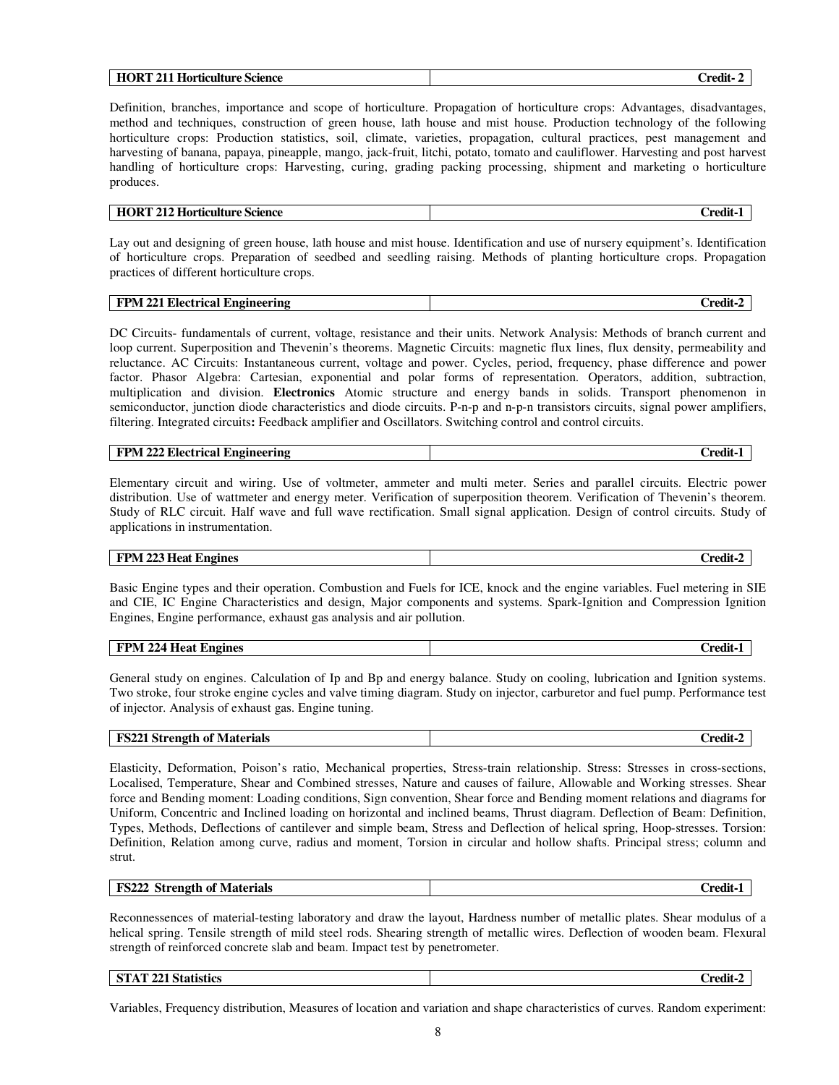|--|

Definition, branches, importance and scope of horticulture. Propagation of horticulture crops: Advantages, disadvantages, method and techniques, construction of green house, lath house and mist house. Production technology of the following horticulture crops: Production statistics, soil, climate, varieties, propagation, cultural practices, pest management and harvesting of banana, papaya, pineapple, mango, jack-fruit, litchi, potato, tomato and cauliflower. Harvesting and post harvest handling of horticulture crops: Harvesting, curing, grading packing processing, shipment and marketing o horticulture produces.

### **HORT 212 Horticulture Science Credit-1**

Lay out and designing of green house, lath house and mist house. Identification and use of nursery equipment's. Identification of horticulture crops. Preparation of seedbed and seedling raising. Methods of planting horticulture crops. Propagation practices of different horticulture crops.

| A 771<br><b>Electrical</b><br><b>FPM</b><br>. Engineering<br>$\mathbf{W}$ $\mathbf{L}$ | . .<br>redit |
|----------------------------------------------------------------------------------------|--------------|
|----------------------------------------------------------------------------------------|--------------|

DC Circuits- fundamentals of current, voltage, resistance and their units. Network Analysis: Methods of branch current and loop current. Superposition and Thevenin's theorems. Magnetic Circuits: magnetic flux lines, flux density, permeability and reluctance. AC Circuits: Instantaneous current, voltage and power. Cycles, period, frequency, phase difference and power factor. Phasor Algebra: Cartesian, exponential and polar forms of representation. Operators, addition, subtraction, multiplication and division. **Electronics** Atomic structure and energy bands in solids. Transport phenomenon in semiconductor, junction diode characteristics and diode circuits. P-n-p and n-p-n transistors circuits, signal power amplifiers, filtering. Integrated circuits**:** Feedback amplifier and Oscillators. Switching control and control circuits.

| $\sim$ 222 Electrica.<br>FPM<br>. Engineering<br>trical<br>₩<br>-- | 'nodi |
|--------------------------------------------------------------------|-------|
|--------------------------------------------------------------------|-------|

Elementary circuit and wiring. Use of voltmeter, ammeter and multi meter. Series and parallel circuits. Electric power distribution. Use of wattmeter and energy meter. Verification of superposition theorem. Verification of Thevenin's theorem. Study of RLC circuit. Half wave and full wave rectification. Small signal application. Design of control circuits. Study of applications in instrumentation.

#### **FPM 223 Heat Engines** Credit-2

Basic Engine types and their operation. Combustion and Fuels for ICE, knock and the engine variables. Fuel metering in SIE and CIE, IC Engine Characteristics and design, Major components and systems. Spark-Ignition and Compression Ignition Engines, Engine performance, exhaust gas analysis and air pollution.

| $\sim$<br>FPN<br>Engines<br>Heat<br>. 224<br>-----<br>. . | $\bullet$<br><b>Prodit</b> |
|-----------------------------------------------------------|----------------------------|
|                                                           |                            |

General study on engines. Calculation of Ip and Bp and energy balance. Study on cooling, lubrication and Ignition systems. Two stroke, four stroke engine cycles and valve timing diagram. Study on injector, carburetor and fuel pump. Performance test of injector. Analysis of exhaust gas. Engine tuning.

| <b>FS221 Strength of Materials</b> | <b>Credit-2</b> |
|------------------------------------|-----------------|
|                                    |                 |

Elasticity, Deformation, Poison's ratio, Mechanical properties, Stress-train relationship. Stress: Stresses in cross-sections, Localised, Temperature, Shear and Combined stresses, Nature and causes of failure, Allowable and Working stresses. Shear force and Bending moment: Loading conditions, Sign convention, Shear force and Bending moment relations and diagrams for Uniform, Concentric and Inclined loading on horizontal and inclined beams, Thrust diagram. Deflection of Beam: Definition, Types, Methods, Deflections of cantilever and simple beam, Stress and Deflection of helical spring, Hoop-stresses. Torsion: Definition, Relation among curve, radius and moment, Torsion in circular and hollow shafts. Principal stress; column and strut.

| <b>FS222</b><br><b>Strength of Materials</b> | redit |
|----------------------------------------------|-------|

Reconnessences of material-testing laboratory and draw the layout, Hardness number of metallic plates. Shear modulus of a helical spring. Tensile strength of mild steel rods. Shearing strength of metallic wires. Deflection of wooden beam. Flexural strength of reinforced concrete slab and beam. Impact test by penetrometer.

| <b>ST</b><br>$\mathcal{L}$ $\mathcal{L}$ 21 Statistics | - 10<br>`rodit<br>$\mathbf{u}$ . $\mathbf{u}$ |
|--------------------------------------------------------|-----------------------------------------------|
|                                                        |                                               |

Variables, Frequency distribution, Measures of location and variation and shape characteristics of curves. Random experiment: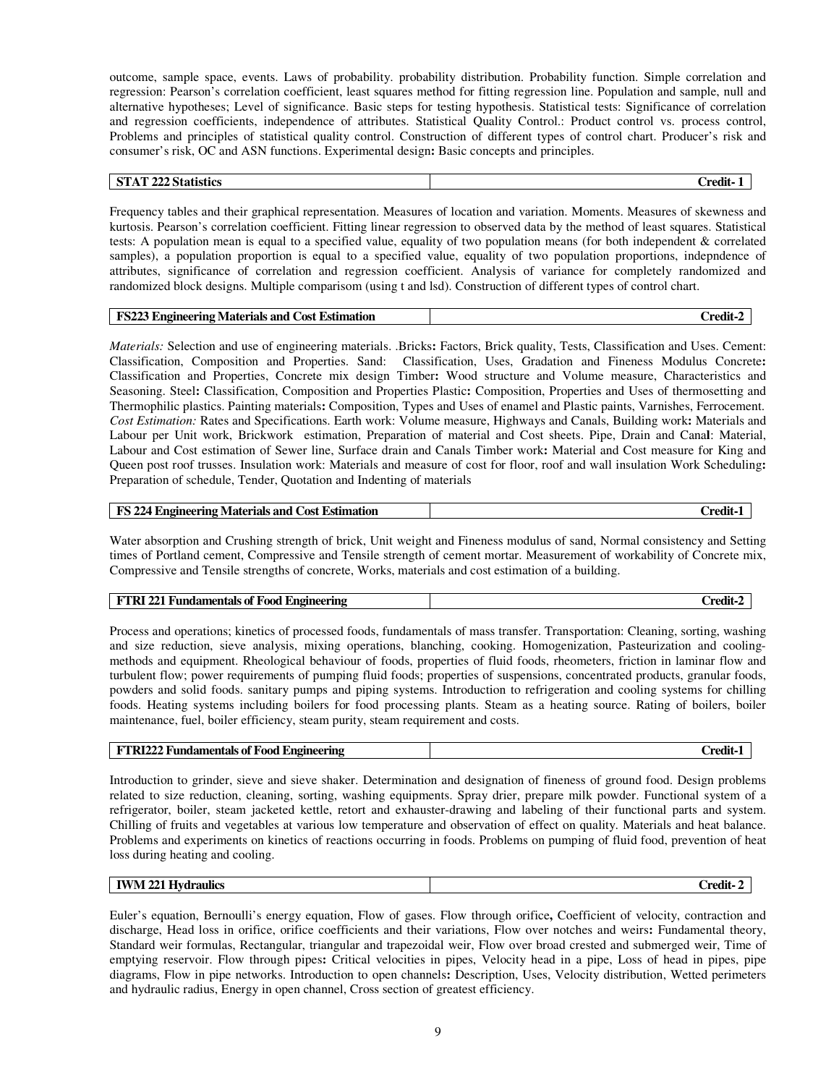outcome, sample space, events. Laws of probability. probability distribution. Probability function. Simple correlation and regression: Pearson's correlation coefficient, least squares method for fitting regression line. Population and sample, null and alternative hypotheses; Level of significance. Basic steps for testing hypothesis. Statistical tests: Significance of correlation and regression coefficients, independence of attributes. Statistical Quality Control.: Product control vs. process control, Problems and principles of statistical quality control. Construction of different types of control chart. Producer's risk and consumer's risk, OC and ASN functions. Experimental design**:** Basic concepts and principles.

### **STAT 222 Statistics Credit- 1**

Frequency tables and their graphical representation. Measures of location and variation. Moments. Measures of skewness and kurtosis. Pearson's correlation coefficient. Fitting linear regression to observed data by the method of least squares. Statistical tests: A population mean is equal to a specified value, equality of two population means (for both independent & correlated samples), a population proportion is equal to a specified value, equality of two population proportions, indepndence of attributes, significance of correlation and regression coefficient. Analysis of variance for completely randomized and randomized block designs. Multiple comparisom (using t and lsd). Construction of different types of control chart.

|                                                                              | $\bullet$ |
|------------------------------------------------------------------------------|-----------|
| <b>FS22?</b><br><b>Cost Estimation</b><br><b>Engineering Materials and G</b> | redit-    |

*Materials:* Selection and use of engineering materials. .Bricks**:** Factors, Brick quality, Tests, Classification and Uses. Cement: Classification, Composition and Properties. Sand: Classification, Uses, Gradation and Fineness Modulus Concrete**:** Classification and Properties, Concrete mix design Timber**:** Wood structure and Volume measure, Characteristics and Seasoning. Steel**:** Classification, Composition and Properties Plastic**:** Composition, Properties and Uses of thermosetting and Thermophilic plastics. Painting materials**:** Composition, Types and Uses of enamel and Plastic paints, Varnishes, Ferrocement. *Cost Estimation:* Rates and Specifications. Earth work: Volume measure, Highways and Canals, Building work**:** Materials and Labour per Unit work, Brickwork estimation, Preparation of material and Cost sheets. Pipe, Drain and Cana**l**: Material, Labour and Cost estimation of Sewer line, Surface drain and Canals Timber work**:** Material and Cost measure for King and Queen post roof trusses. Insulation work: Materials and measure of cost for floor, roof and wall insulation Work Scheduling**:** Preparation of schedule, Tender, Quotation and Indenting of materials

| FS 224 Engineering Materials and Cost Estimation | redi1. |
|--------------------------------------------------|--------|
|--------------------------------------------------|--------|

Water absorption and Crushing strength of brick, Unit weight and Fineness modulus of sand, Normal consistency and Setting times of Portland cement, Compressive and Tensile strength of cement mortar. Measurement of workability of Concrete mix, Compressive and Tensile strengths of concrete, Works, materials and cost estimation of a building.

| <br>$\sim$<br>Engineering<br>. `redit<br>; of Food<br>ntals.<br>"tamer"<br>Fund<br>v.<br>. |  |
|--------------------------------------------------------------------------------------------|--|
|--------------------------------------------------------------------------------------------|--|

Process and operations; kinetics of processed foods, fundamentals of mass transfer. Transportation: Cleaning, sorting, washing and size reduction, sieve analysis, mixing operations, blanching, cooking. Homogenization, Pasteurization and coolingmethods and equipment. Rheological behaviour of foods, properties of fluid foods, rheometers, friction in laminar flow and turbulent flow; power requirements of pumping fluid foods; properties of suspensions, concentrated products, granular foods, powders and solid foods. sanitary pumps and piping systems. Introduction to refrigeration and cooling systems for chilling foods. Heating systems including boilers for food processing plants. Steam as a heating source. Rating of boilers, boiler maintenance, fuel, boiler efficiency, steam purity, steam requirement and costs.

Introduction to grinder, sieve and sieve shaker. Determination and designation of fineness of ground food. Design problems related to size reduction, cleaning, sorting, washing equipments. Spray drier, prepare milk powder. Functional system of a refrigerator, boiler, steam jacketed kettle, retort and exhauster-drawing and labeling of their functional parts and system. Chilling of fruits and vegetables at various low temperature and observation of effect on quality. Materials and heat balance. Problems and experiments on kinetics of reactions occurring in foods. Problems on pumping of fluid food, prevention of heat loss during heating and cooling.

| $-$<br>raulics<br>IW<br>'N<br>- | $\sim$<br><b>אמי</b><br>''''<br>$- - - - - -$ |
|---------------------------------|-----------------------------------------------|
|                                 |                                               |

Euler's equation, Bernoulli's energy equation, Flow of gases. Flow through orifice**,** Coefficient of velocity, contraction and discharge, Head loss in orifice, orifice coefficients and their variations, Flow over notches and weirs**:** Fundamental theory, Standard weir formulas, Rectangular, triangular and trapezoidal weir, Flow over broad crested and submerged weir, Time of emptying reservoir. Flow through pipes**:** Critical velocities in pipes, Velocity head in a pipe, Loss of head in pipes, pipe diagrams, Flow in pipe networks. Introduction to open channels**:** Description, Uses, Velocity distribution, Wetted perimeters and hydraulic radius, Energy in open channel, Cross section of greatest efficiency.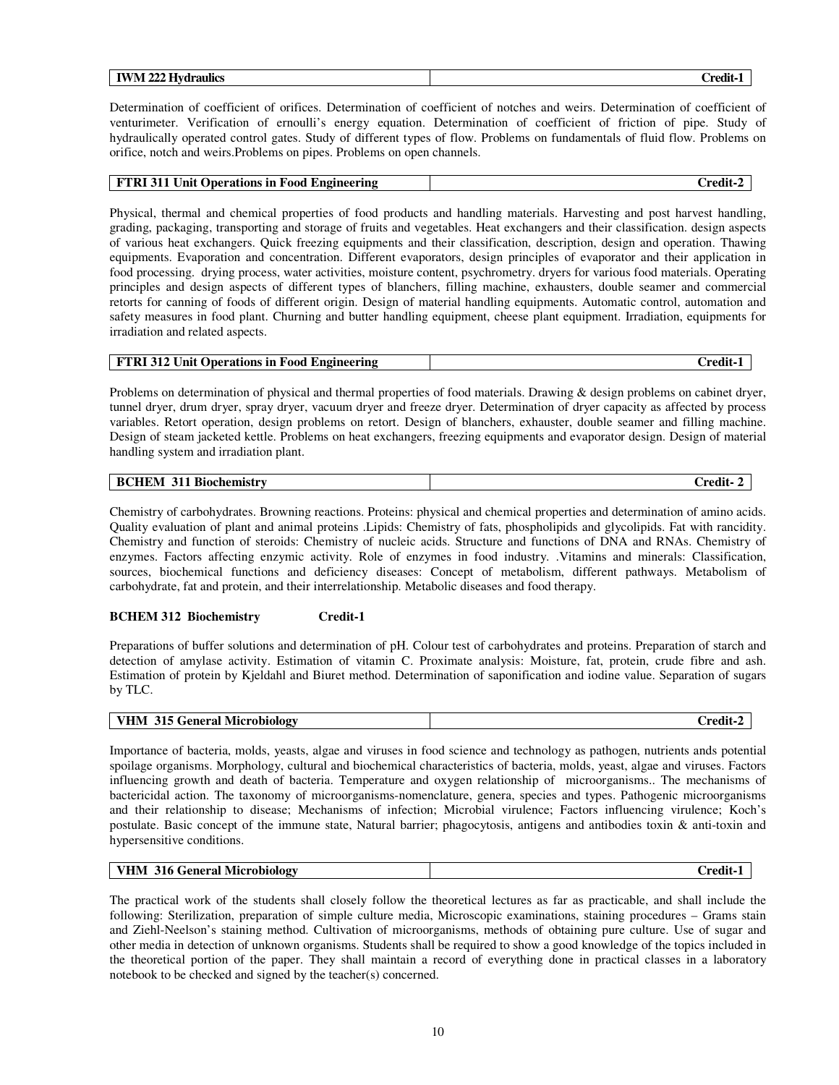| -<br>$-$<br>$- - -$<br>---<br>aulics:<br>M<br>'NA<br>--- | $\sim$ $\sim$<br>$-$<br>$-0.0$ |
|----------------------------------------------------------|--------------------------------|
|                                                          |                                |

Determination of coefficient of orifices. Determination of coefficient of notches and weirs. Determination of coefficient of venturimeter. Verification of ernoulli's energy equation. Determination of coefficient of friction of pipe. Study of hydraulically operated control gates. Study of different types of flow. Problems on fundamentals of fluid flow. Problems on orifice, notch and weirs.Problems on pipes. Problems on open channels.

| <b>FTRI</b> 311 Unit Operations in Food Engineering | Credit-2 |
|-----------------------------------------------------|----------|
|                                                     |          |

Physical, thermal and chemical properties of food products and handling materials. Harvesting and post harvest handling, grading, packaging, transporting and storage of fruits and vegetables. Heat exchangers and their classification. design aspects of various heat exchangers. Quick freezing equipments and their classification, description, design and operation. Thawing equipments. Evaporation and concentration. Different evaporators, design principles of evaporator and their application in food processing. drying process, water activities, moisture content, psychrometry. dryers for various food materials. Operating principles and design aspects of different types of blanchers, filling machine, exhausters, double seamer and commercial retorts for canning of foods of different origin. Design of material handling equipments. Automatic control, automation and safety measures in food plant. Churning and butter handling equipment, cheese plant equipment. Irradiation, equipments for irradiation and related aspects.

| <b>FTRI 312 Unit Operations in Food Engineering</b> | <b>Credit-1</b> |
|-----------------------------------------------------|-----------------|
|-----------------------------------------------------|-----------------|

Problems on determination of physical and thermal properties of food materials. Drawing & design problems on cabinet dryer, tunnel dryer, drum dryer, spray dryer, vacuum dryer and freeze dryer. Determination of dryer capacity as affected by process variables. Retort operation, design problems on retort. Design of blanchers, exhauster, double seamer and filling machine. Design of steam jacketed kettle. Problems on heat exchangers, freezing equipments and evaporator design. Design of material handling system and irradiation plant.

| ⊥ Biochemistr™<br>. .<br>. .<br>_____ |
|---------------------------------------|
|---------------------------------------|

Chemistry of carbohydrates. Browning reactions. Proteins: physical and chemical properties and determination of amino acids. Quality evaluation of plant and animal proteins .Lipids: Chemistry of fats, phospholipids and glycolipids. Fat with rancidity. Chemistry and function of steroids: Chemistry of nucleic acids. Structure and functions of DNA and RNAs. Chemistry of enzymes. Factors affecting enzymic activity. Role of enzymes in food industry. .Vitamins and minerals: Classification, sources, biochemical functions and deficiency diseases: Concept of metabolism, different pathways. Metabolism of carbohydrate, fat and protein, and their interrelationship. Metabolic diseases and food therapy.

#### **BCHEM 312 Biochemistry Credit-1**

Preparations of buffer solutions and determination of pH. Colour test of carbohydrates and proteins. Preparation of starch and detection of amylase activity. Estimation of vitamin C. Proximate analysis: Moisture, fat, protein, crude fibre and ash. Estimation of protein by Kjeldahl and Biuret method. Determination of saponification and iodine value. Separation of sugars by TLC.

| .<br>$\mathbf{r}$<br>-<br>reneral<br>. Microbiology<br>IV.<br>ו ל<br>ຼ | 'nod |
|------------------------------------------------------------------------|------|
|------------------------------------------------------------------------|------|

Importance of bacteria, molds, yeasts, algae and viruses in food science and technology as pathogen, nutrients ands potential spoilage organisms. Morphology, cultural and biochemical characteristics of bacteria, molds, yeast, algae and viruses. Factors influencing growth and death of bacteria. Temperature and oxygen relationship of microorganisms.. The mechanisms of bactericidal action. The taxonomy of microorganisms-nomenclature, genera, species and types. Pathogenic microorganisms and their relationship to disease; Mechanisms of infection; Microbial virulence; Factors influencing virulence; Koch's postulate. Basic concept of the immune state, Natural barrier; phagocytosis, antigens and antibodies toxin & anti-toxin and hypersensitive conditions.

| <b>VHM 316 General Microbiology</b> | $Credit-1$ |
|-------------------------------------|------------|
|-------------------------------------|------------|

The practical work of the students shall closely follow the theoretical lectures as far as practicable, and shall include the following: Sterilization, preparation of simple culture media, Microscopic examinations, staining procedures – Grams stain and Ziehl-Neelson's staining method. Cultivation of microorganisms, methods of obtaining pure culture. Use of sugar and other media in detection of unknown organisms. Students shall be required to show a good knowledge of the topics included in the theoretical portion of the paper. They shall maintain a record of everything done in practical classes in a laboratory notebook to be checked and signed by the teacher(s) concerned.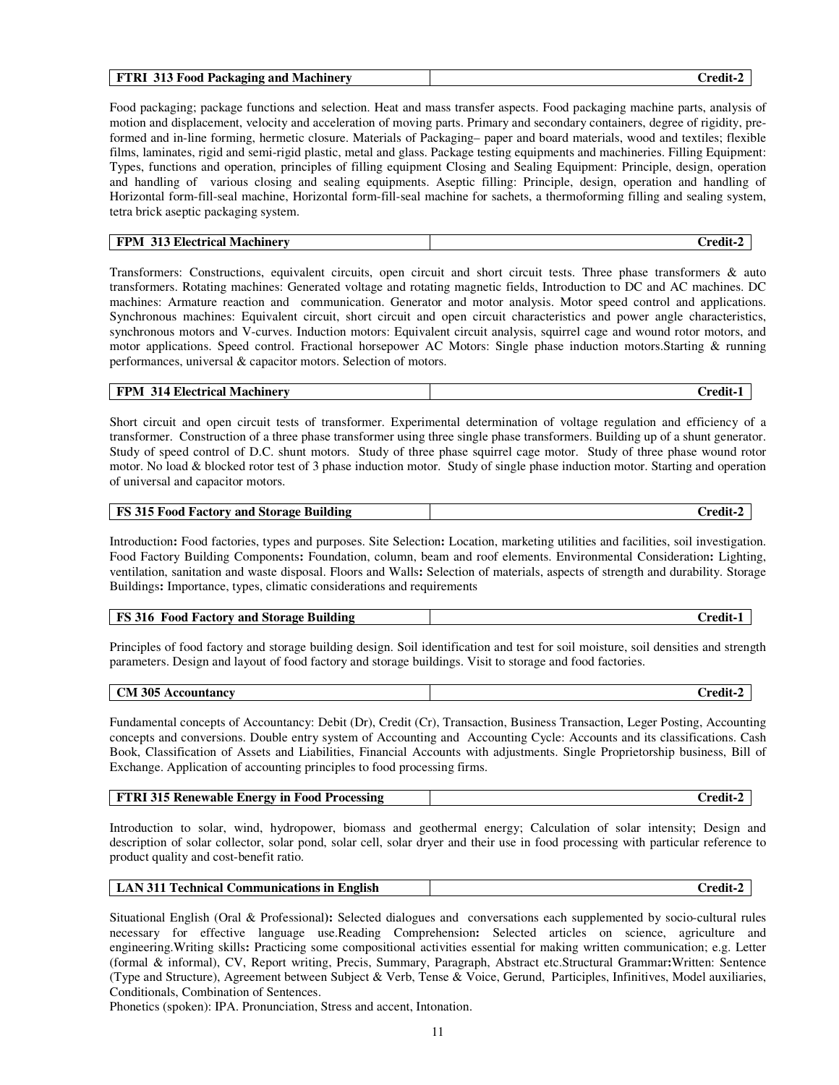| 313 Food Packaging and Machinery<br>FTRI<br>redit: |
|----------------------------------------------------|
|----------------------------------------------------|

Food packaging; package functions and selection. Heat and mass transfer aspects. Food packaging machine parts, analysis of motion and displacement, velocity and acceleration of moving parts. Primary and secondary containers, degree of rigidity, preformed and in-line forming, hermetic closure. Materials of Packaging– paper and board materials, wood and textiles; flexible films, laminates, rigid and semi-rigid plastic, metal and glass. Package testing equipments and machineries. Filling Equipment: Types, functions and operation, principles of filling equipment Closing and Sealing Equipment: Principle, design, operation and handling of various closing and sealing equipments. Aseptic filling: Principle, design, operation and handling of Horizontal form-fill-seal machine, Horizontal form-fill-seal machine for sachets, a thermoforming filling and sealing system, tetra brick aseptic packaging system.

| 313 Electrical Machinery |        |
|--------------------------|--------|
| <b>FPM</b>               | redit- |

Transformers: Constructions, equivalent circuits, open circuit and short circuit tests. Three phase transformers & auto transformers. Rotating machines: Generated voltage and rotating magnetic fields, Introduction to DC and AC machines. DC machines: Armature reaction and communication. Generator and motor analysis. Motor speed control and applications. Synchronous machines: Equivalent circuit, short circuit and open circuit characteristics and power angle characteristics, synchronous motors and V-curves. Induction motors: Equivalent circuit analysis, squirrel cage and wound rotor motors, and motor applications. Speed control. Fractional horsepower AC Motors: Single phase induction motors.Starting & running performances, universal & capacitor motors. Selection of motors.

### **FPM 314 Electrical Machinery Credit-1 Credit-1**

Short circuit and open circuit tests of transformer. Experimental determination of voltage regulation and efficiency of a transformer. Construction of a three phase transformer using three single phase transformers. Building up of a shunt generator. Study of speed control of D.C. shunt motors. Study of three phase squirrel cage motor. Study of three phase wound rotor motor. No load & blocked rotor test of 3 phase induction motor. Study of single phase induction motor. Starting and operation of universal and capacitor motors.

| <b>FS 315 Food Factory and Storage Building</b> | $\blacksquare$<br>Credit-2 |
|-------------------------------------------------|----------------------------|
|-------------------------------------------------|----------------------------|

Introduction**:** Food factories, types and purposes. Site Selection**:** Location, marketing utilities and facilities, soil investigation. Food Factory Building Components**:** Foundation, column, beam and roof elements. Environmental Consideration**:** Lighting, ventilation, sanitation and waste disposal. Floors and Walls**:** Selection of materials, aspects of strength and durability. Storage Buildings**:** Importance, types, climatic considerations and requirements

| <b>Storage Building</b><br><b>FS 316</b><br><sup>1</sup> Factory and L<br>Food | redit : |
|--------------------------------------------------------------------------------|---------|
|--------------------------------------------------------------------------------|---------|

Principles of food factory and storage building design. Soil identification and test for soil moisture, soil densities and strength parameters. Design and layout of food factory and storage buildings. Visit to storage and food factories.

| 305<br>$\gamma_{\mathbf{M}}$<br>ītanev<br>$\mathbf{r}$<br>.0111<br>$\sim$<br>. | $\blacksquare$<br>'nodit<br>______ |
|--------------------------------------------------------------------------------|------------------------------------|
|                                                                                |                                    |

Fundamental concepts of Accountancy: Debit (Dr), Credit (Cr), Transaction, Business Transaction, Leger Posting, Accounting concepts and conversions. Double entry system of Accounting and Accounting Cycle: Accounts and its classifications. Cash Book, Classification of Assets and Liabilities, Financial Accounts with adjustments. Single Proprietorship business, Bill of Exchange. Application of accounting principles to food processing firms.

| <b>FTRI 315 Renewable Energy in Food Processing</b> | Credit-2 |
|-----------------------------------------------------|----------|
|-----------------------------------------------------|----------|

Introduction to solar, wind, hydropower, biomass and geothermal energy; Calculation of solar intensity; Design and description of solar collector, solar pond, solar cell, solar dryer and their use in food processing with particular reference to product quality and cost-benefit ratio.

| LAN 311 Technical Communications in English | Credit-2 |
|---------------------------------------------|----------|
|                                             |          |

Situational English (Oral & Professional**):** Selected dialogues and conversations each supplemented by socio-cultural rules necessary for effective language use.Reading Comprehension**:** Selected articles on science, agriculture and engineering.Writing skills**:** Practicing some compositional activities essential for making written communication; e.g. Letter (formal & informal), CV, Report writing, Precis, Summary, Paragraph, Abstract etc.Structural Grammar**:**Written: Sentence (Type and Structure), Agreement between Subject & Verb, Tense & Voice, Gerund, Participles, Infinitives, Model auxiliaries, Conditionals, Combination of Sentences.

Phonetics (spoken): IPA. Pronunciation, Stress and accent, Intonation.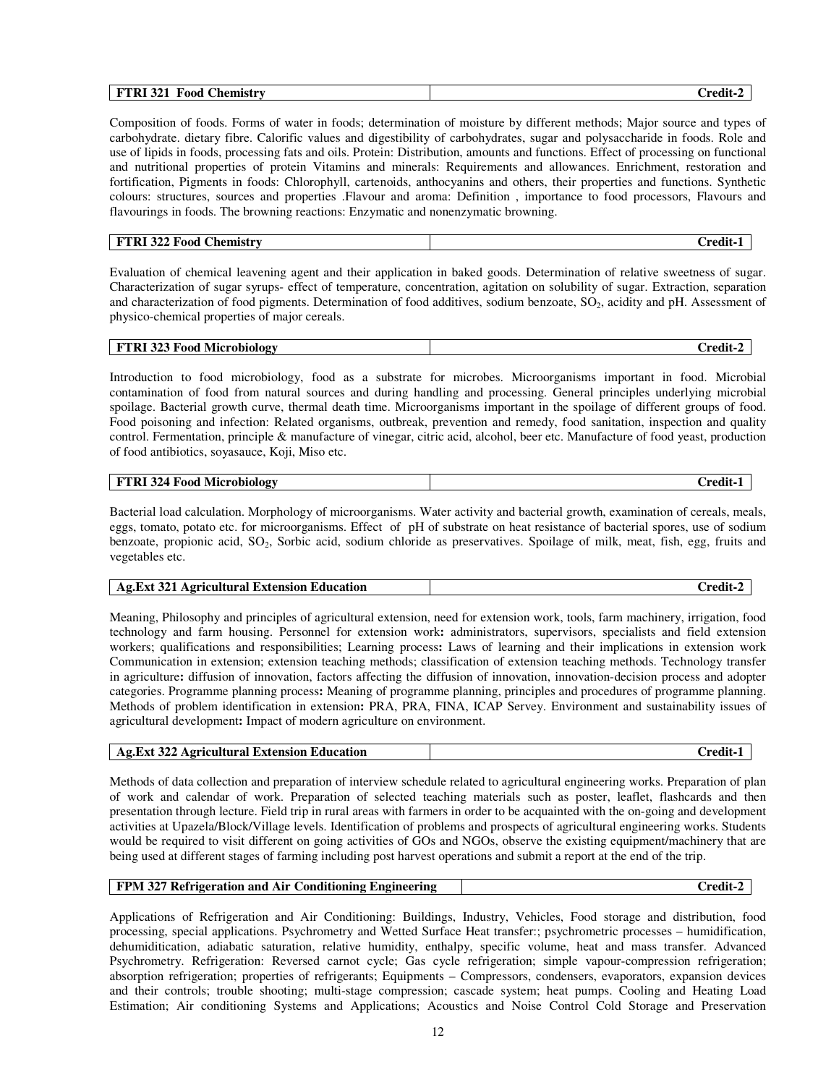| <br>----<br>321<br>$\mathbf{r}$<br><b>Food</b><br>Chemistry<br>., .<br>∠redit<br><b>FIM</b><br>- |
|--------------------------------------------------------------------------------------------------|
|--------------------------------------------------------------------------------------------------|

Composition of foods. Forms of water in foods; determination of moisture by different methods; Major source and types of carbohydrate. dietary fibre. Calorific values and digestibility of carbohydrates, sugar and polysaccharide in foods. Role and use of lipids in foods, processing fats and oils. Protein: Distribution, amounts and functions. Effect of processing on functional and nutritional properties of protein Vitamins and minerals: Requirements and allowances. Enrichment, restoration and fortification, Pigments in foods: Chlorophyll, cartenoids, anthocyanins and others, their properties and functions. Synthetic colours: structures, sources and properties .Flavour and aroma: Definition , importance to food processors, Flavours and flavourings in foods. The browning reactions: Enzymatic and nonenzymatic browning.

| FTRI 322 Food<br><b>Chemistry</b> | Credit- |
|-----------------------------------|---------|
|-----------------------------------|---------|

Evaluation of chemical leavening agent and their application in baked goods. Determination of relative sweetness of sugar. Characterization of sugar syrups- effect of temperature, concentration, agitation on solubility of sugar. Extraction, separation and characterization of food pigments. Determination of food additives, sodium benzoate, SO<sub>2</sub>, acidity and pH. Assessment of physico-chemical properties of major cereals.

| Microbiology<br><b>FTRI 323 Food</b> | $C$ redit $\cdot$ |
|--------------------------------------|-------------------|
|--------------------------------------|-------------------|

Introduction to food microbiology, food as a substrate for microbes. Microorganisms important in food. Microbial contamination of food from natural sources and during handling and processing. General principles underlying microbial spoilage. Bacterial growth curve, thermal death time. Microorganisms important in the spoilage of different groups of food. Food poisoning and infection: Related organisms, outbreak, prevention and remedy, food sanitation, inspection and quality control. Fermentation, principle & manufacture of vinegar, citric acid, alcohol, beer etc. Manufacture of food yeast, production of food antibiotics, soyasauce, Koji, Miso etc.

| 324<br>${\bf F}$<br>d Microbiologv<br>-Food<br>. . | 'nod<br>______ |
|----------------------------------------------------|----------------|
|----------------------------------------------------|----------------|

Bacterial load calculation. Morphology of microorganisms. Water activity and bacterial growth, examination of cereals, meals, eggs, tomato, potato etc. for microorganisms. Effect of pH of substrate on heat resistance of bacterial spores, use of sodium benzoate, propionic acid, SO2, Sorbic acid, sodium chloride as preservatives. Spoilage of milk, meat, fish, egg, fruits and vegetables etc.

| Ag.Ext<br>. Agricultural Extension Education.<br>. .<br>redi'<br>34J |
|----------------------------------------------------------------------|
|----------------------------------------------------------------------|

Meaning, Philosophy and principles of agricultural extension, need for extension work, tools, farm machinery, irrigation, food technology and farm housing. Personnel for extension work**:** administrators, supervisors, specialists and field extension workers; qualifications and responsibilities; Learning process**:** Laws of learning and their implications in extension work Communication in extension; extension teaching methods; classification of extension teaching methods. Technology transfer in agriculture**:** diffusion of innovation, factors affecting the diffusion of innovation, innovation-decision process and adopter categories. Programme planning process**:** Meaning of programme planning, principles and procedures of programme planning. Methods of problem identification in extension**:** PRA, PRA, FINA, ICAP Servey. Environment and sustainability issues of agricultural development**:** Impact of modern agriculture on environment.

| <b>Ag.Ext 322</b><br>. Agricultural Extension Education | √redit- |
|---------------------------------------------------------|---------|
|                                                         |         |

Methods of data collection and preparation of interview schedule related to agricultural engineering works. Preparation of plan of work and calendar of work. Preparation of selected teaching materials such as poster, leaflet, flashcards and then presentation through lecture. Field trip in rural areas with farmers in order to be acquainted with the on-going and development activities at Upazela/Block/Village levels. Identification of problems and prospects of agricultural engineering works. Students would be required to visit different on going activities of GOs and NGOs, observe the existing equipment/machinery that are being used at different stages of farming including post harvest operations and submit a report at the end of the trip.

### **FPM 327 Refrigeration and Air Conditioning Engineering Credit-2 Credit-2 Credit-2 Credit-2 Credit-2 Credit-2 Credit-2 Credit-2 Credit-2 Credit-2 Credit-2 Credit-2 Credit-2 Credit-2 Credit-2 Credit-2 Credit-2 Credit-2 Cred**

Applications of Refrigeration and Air Conditioning: Buildings, Industry, Vehicles, Food storage and distribution, food processing, special applications. Psychrometry and Wetted Surface Heat transfer:; psychrometric processes – humidification, dehumiditication, adiabatic saturation, relative humidity, enthalpy, specific volume, heat and mass transfer. Advanced Psychrometry. Refrigeration: Reversed carnot cycle; Gas cycle refrigeration; simple vapour-compression refrigeration; absorption refrigeration; properties of refrigerants; Equipments – Compressors, condensers, evaporators, expansion devices and their controls; trouble shooting; multi-stage compression; cascade system; heat pumps. Cooling and Heating Load Estimation; Air conditioning Systems and Applications; Acoustics and Noise Control Cold Storage and Preservation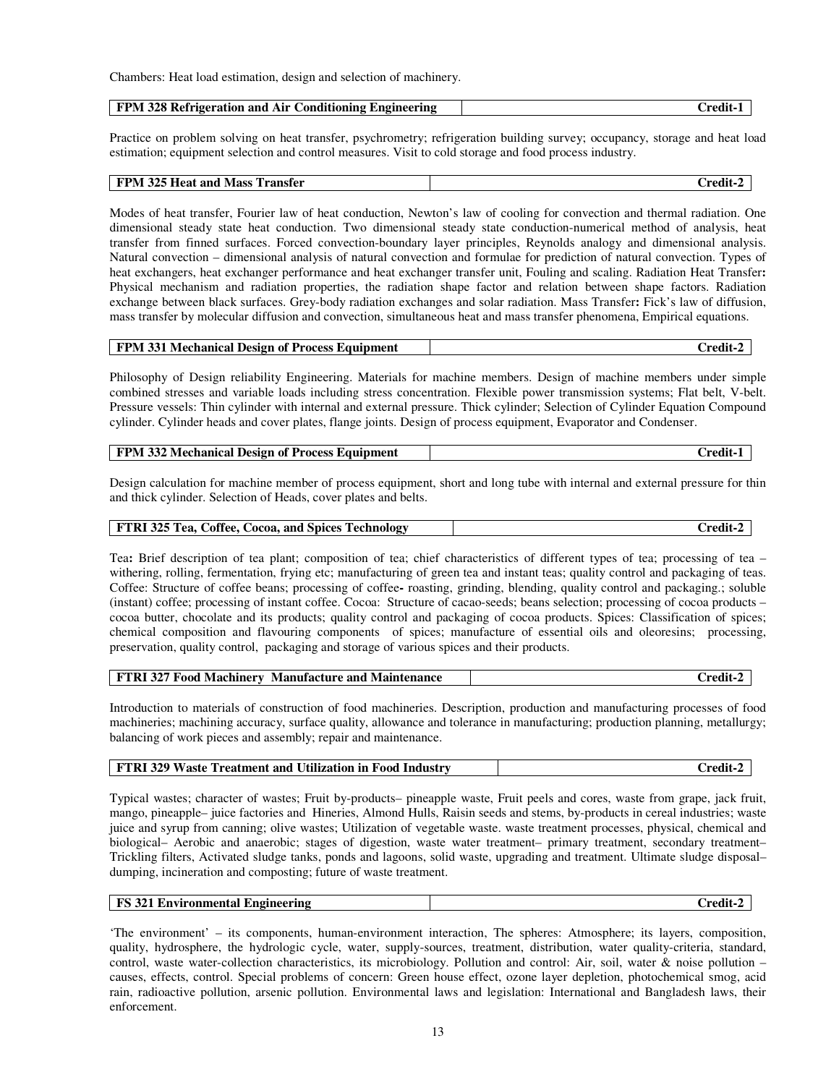Chambers: Heat load estimation, design and selection of machinery.

| FPM 328 Refrigeration and Air Conditioning Engineering | Credit-1 |
|--------------------------------------------------------|----------|
|                                                        |          |

Practice on problem solving on heat transfer, psychrometry; refrigeration building survey; occupancy, storage and heat load estimation; equipment selection and control measures. Visit to cold storage and food process industry.

| <b>FPM 325 Heat and Mass</b> | п.      |
|------------------------------|---------|
| Transfer                     | . rodit |
|                              |         |

Modes of heat transfer, Fourier law of heat conduction, Newton's law of cooling for convection and thermal radiation. One dimensional steady state heat conduction. Two dimensional steady state conduction-numerical method of analysis, heat transfer from finned surfaces. Forced convection-boundary layer principles, Reynolds analogy and dimensional analysis. Natural convection – dimensional analysis of natural convection and formulae for prediction of natural convection. Types of heat exchangers, heat exchanger performance and heat exchanger transfer unit, Fouling and scaling. Radiation Heat Transfer**:**  Physical mechanism and radiation properties, the radiation shape factor and relation between shape factors. Radiation exchange between black surfaces. Grey-body radiation exchanges and solar radiation. Mass Transfer**:** Fick's law of diffusion, mass transfer by molecular diffusion and convection, simultaneous heat and mass transfer phenomena, Empirical equations.

|--|

Philosophy of Design reliability Engineering. Materials for machine members. Design of machine members under simple combined stresses and variable loads including stress concentration. Flexible power transmission systems; Flat belt, V-belt. Pressure vessels: Thin cylinder with internal and external pressure. Thick cylinder; Selection of Cylinder Equation Compound cylinder. Cylinder heads and cover plates, flange joints. Design of process equipment, Evaporator and Condenser.

| <b>FPM 332 Mechanical Design of Process Equipment</b> | -redit- |
|-------------------------------------------------------|---------|
|-------------------------------------------------------|---------|

Design calculation for machine member of process equipment, short and long tube with internal and external pressure for thin and thick cylinder. Selection of Heads, cover plates and belts.

Tea**:** Brief description of tea plant; composition of tea; chief characteristics of different types of tea; processing of tea – withering, rolling, fermentation, frying etc; manufacturing of green tea and instant teas; quality control and packaging of teas. Coffee: Structure of coffee beans; processing of coffee**-** roasting, grinding, blending, quality control and packaging.; soluble (instant) coffee; processing of instant coffee. Cocoa:Structure of cacao-seeds; beans selection; processing of cocoa products – cocoa butter, chocolate and its products; quality control and packaging of cocoa products. Spices: Classification of spices; chemical composition and flavouring components of spices; manufacture of essential oils and oleoresins; processing, preservation, quality control, packaging and storage of various spices and their products.

| <b>FTRI 327 Food Machinery Manufacture and Maintenance</b> | Credit-2 |
|------------------------------------------------------------|----------|
|------------------------------------------------------------|----------|

Introduction to materials of construction of food machineries. Description, production and manufacturing processes of food machineries; machining accuracy, surface quality, allowance and tolerance in manufacturing; production planning, metallurgy; balancing of work pieces and assembly; repair and maintenance.

| FTRI 329 Waste Treatment and Utilization in Food Industry | Credit-2 |
|-----------------------------------------------------------|----------|
|-----------------------------------------------------------|----------|

Typical wastes; character of wastes; Fruit by-products– pineapple waste, Fruit peels and cores, waste from grape, jack fruit, mango, pineapple– juice factories and Hineries, Almond Hulls, Raisin seeds and stems, by-products in cereal industries; waste juice and syrup from canning; olive wastes; Utilization of vegetable waste. waste treatment processes, physical, chemical and biological– Aerobic and anaerobic; stages of digestion, waste water treatment– primary treatment, secondary treatment– Trickling filters, Activated sludge tanks, ponds and lagoons, solid waste, upgrading and treatment. Ultimate sludge disposal– dumping, incineration and composting; future of waste treatment.

| <b>FS</b> 321 Environmental Engineering | <br>-redit- |  |
|-----------------------------------------|-------------|--|
|-----------------------------------------|-------------|--|

'The environment' – its components, human-environment interaction, The spheres: Atmosphere; its layers, composition, quality, hydrosphere, the hydrologic cycle, water, supply-sources, treatment, distribution, water quality-criteria, standard, control, waste water-collection characteristics, its microbiology. Pollution and control: Air, soil, water & noise pollution – causes, effects, control. Special problems of concern: Green house effect, ozone layer depletion, photochemical smog, acid rain, radioactive pollution, arsenic pollution. Environmental laws and legislation: International and Bangladesh laws, their enforcement.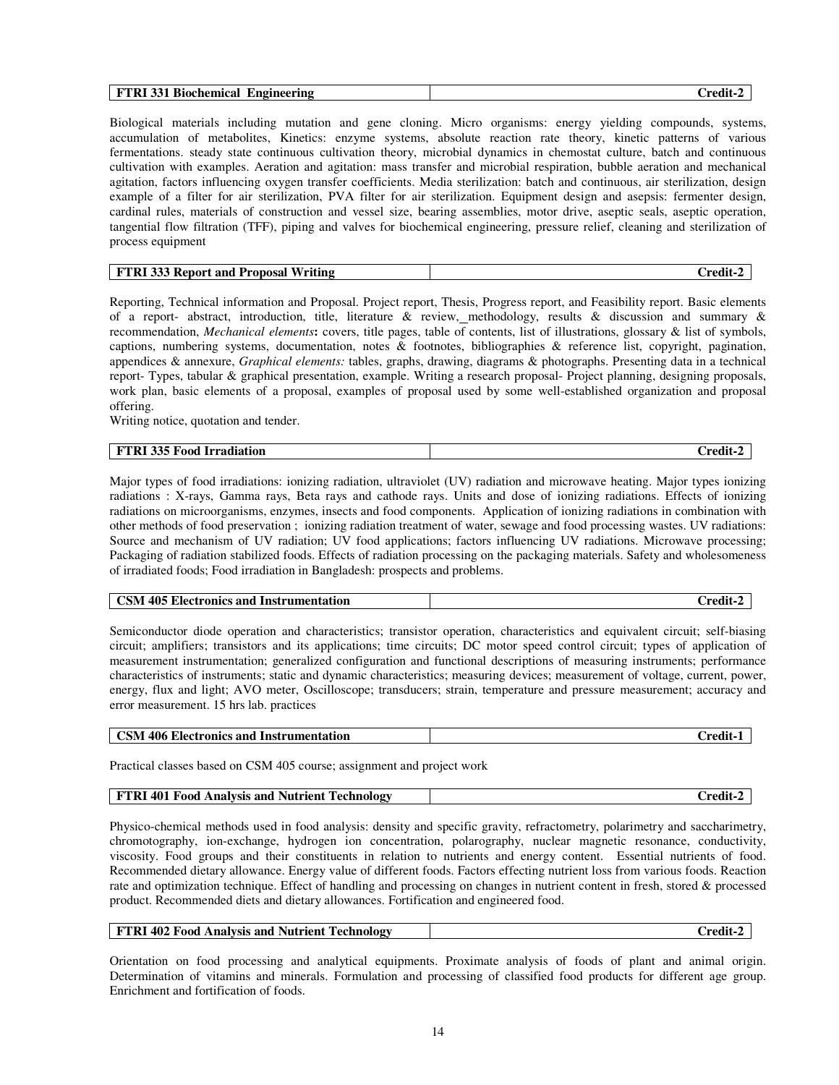|--|

Biological materials including mutation and gene cloning. Micro organisms: energy yielding compounds, systems, accumulation of metabolites, Kinetics: enzyme systems, absolute reaction rate theory, kinetic patterns of various fermentations. steady state continuous cultivation theory, microbial dynamics in chemostat culture, batch and continuous cultivation with examples. Aeration and agitation: mass transfer and microbial respiration, bubble aeration and mechanical agitation, factors influencing oxygen transfer coefficients. Media sterilization: batch and continuous, air sterilization, design example of a filter for air sterilization, PVA filter for air sterilization. Equipment design and asepsis: fermenter design, cardinal rules, materials of construction and vessel size, bearing assemblies, motor drive, aseptic seals, aseptic operation, tangential flow filtration (TFF), piping and valves for biochemical engineering, pressure relief, cleaning and sterilization of process equipment

| <b>D'DD</b><br>. Writing<br>Proposa.<br>and<br><sub>→</sub> Kepor† -<br>--<br>- 1- 1. | `rodix |
|---------------------------------------------------------------------------------------|--------|

Reporting, Technical information and Proposal. Project report, Thesis, Progress report, and Feasibility report. Basic elements of a report- abstract, introduction, title, literature & review, methodology, results & discussion and summary & recommendation, *Mechanical elements***:** covers, title pages, table of contents, list of illustrations, glossary & list of symbols, captions, numbering systems, documentation, notes & footnotes, bibliographies & reference list, copyright, pagination, appendices & annexure, *Graphical elements:* tables, graphs, drawing, diagrams & photographs. Presenting data in a technical report- Types, tabular & graphical presentation, example. Writing a research proposal- Project planning, designing proposals, work plan, basic elements of a proposal, examples of proposal used by some well-established organization and proposal offering.

Writing notice, quotation and tender.

| <b>FTRI 335 Food Irradiation</b> | $\mathbf{H}$<br>Credit- |
|----------------------------------|-------------------------|
|----------------------------------|-------------------------|

Major types of food irradiations: ionizing radiation, ultraviolet (UV) radiation and microwave heating. Major types ionizing radiations : X-rays, Gamma rays, Beta rays and cathode rays. Units and dose of ionizing radiations. Effects of ionizing radiations on microorganisms, enzymes, insects and food components. Application of ionizing radiations in combination with other methods of food preservation ; ionizing radiation treatment of water, sewage and food processing wastes. UV radiations: Source and mechanism of UV radiation; UV food applications; factors influencing UV radiations. Microwave processing; Packaging of radiation stabilized foods. Effects of radiation processing on the packaging materials. Safety and wholesomeness of irradiated foods; Food irradiation in Bangladesh: prospects and problems.

| 405 Electronics and Instrumentation | `rodi. |
|-------------------------------------|--------|
| <b>CSM</b>                          | ≂wr    |

Semiconductor diode operation and characteristics; transistor operation, characteristics and equivalent circuit; self-biasing circuit; amplifiers; transistors and its applications; time circuits; DC motor speed control circuit; types of application of measurement instrumentation; generalized configuration and functional descriptions of measuring instruments; performance characteristics of instruments; static and dynamic characteristics; measuring devices; measurement of voltage, current, power, energy, flux and light; AVO meter, Oscilloscope; transducers; strain, temperature and pressure measurement; accuracy and error measurement. 15 hrs lab. practices

| <b>CSM 406 Electronics and Instrumentation</b> | √redit- |
|------------------------------------------------|---------|
|------------------------------------------------|---------|

Practical classes based on CSM 405 course; assignment and project work

| <b>FTRI 401 Food Analysis and Nutrient Technology</b> | Credit-2 |
|-------------------------------------------------------|----------|
|                                                       |          |

Physico-chemical methods used in food analysis: density and specific gravity, refractometry, polarimetry and saccharimetry, chromotography, ion-exchange, hydrogen ion concentration, polarography, nuclear magnetic resonance, conductivity, viscosity. Food groups and their constituents in relation to nutrients and energy content. Essential nutrients of food. Recommended dietary allowance. Energy value of different foods. Factors effecting nutrient loss from various foods. Reaction rate and optimization technique. Effect of handling and processing on changes in nutrient content in fresh, stored & processed product. Recommended diets and dietary allowances. Fortification and engineered food.

| <b>FTRI 402 Food Analysis and Nutrient Technology</b> | redit-^ |
|-------------------------------------------------------|---------|
|                                                       |         |

Orientation on food processing and analytical equipments. Proximate analysis of foods of plant and animal origin. Determination of vitamins and minerals. Formulation and processing of classified food products for different age group. Enrichment and fortification of foods.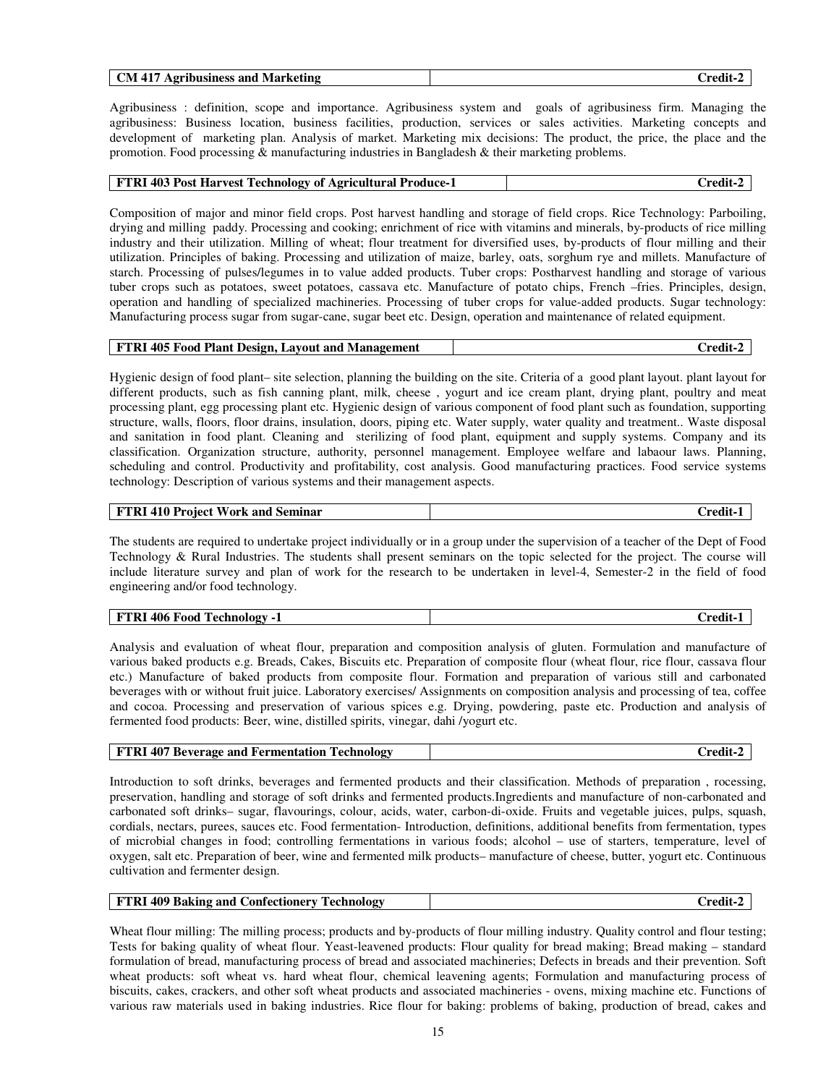| 'N<br>Agribusiness<br>Marketing<br>and<br>'nodit<br>. д.<br>. . |  |  |
|-----------------------------------------------------------------|--|--|
|-----------------------------------------------------------------|--|--|

Agribusiness : definition, scope and importance. Agribusiness system and goals of agribusiness firm. Managing the agribusiness: Business location, business facilities, production, services or sales activities. Marketing concepts and development of marketing plan. Analysis of market. Marketing mix decisions: The product, the price, the place and the promotion. Food processing & manufacturing industries in Bangladesh & their marketing problems.

#### **FTRI 403 Post Harvest Technology of Agricultural Produce-1 Credit-2**

Composition of major and minor field crops. Post harvest handling and storage of field crops. Rice Technology: Parboiling, drying and milling paddy. Processing and cooking; enrichment of rice with vitamins and minerals, by-products of rice milling industry and their utilization. Milling of wheat; flour treatment for diversified uses, by-products of flour milling and their utilization. Principles of baking. Processing and utilization of maize, barley, oats, sorghum rye and millets. Manufacture of starch. Processing of pulses/legumes in to value added products. Tuber crops: Postharvest handling and storage of various tuber crops such as potatoes, sweet potatoes, cassava etc. Manufacture of potato chips, French –fries. Principles, design, operation and handling of specialized machineries. Processing of tuber crops for value-added products. Sugar technology: Manufacturing process sugar from sugar-cane, sugar beet etc. Design, operation and maintenance of related equipment.

| <b>FTRI 405 Food Plant Design, Layout and Management</b> | $Credit-7$ |
|----------------------------------------------------------|------------|
|----------------------------------------------------------|------------|

Hygienic design of food plant– site selection, planning the building on the site. Criteria of a good plant layout. plant layout for different products, such as fish canning plant, milk, cheese , yogurt and ice cream plant, drying plant, poultry and meat processing plant, egg processing plant etc. Hygienic design of various component of food plant such as foundation, supporting structure, walls, floors, floor drains, insulation, doors, piping etc. Water supply, water quality and treatment.. Waste disposal and sanitation in food plant. Cleaning and sterilizing of food plant, equipment and supply systems. Company and its classification. Organization structure, authority, personnel management. Employee welfare and labaour laws. Planning, scheduling and control. Productivity and profitability, cost analysis. Good manufacturing practices. Food service systems technology: Description of various systems and their management aspects.

| FTRI 410 Project Work and Seminar | Credit-1 |
|-----------------------------------|----------|
|-----------------------------------|----------|

The students are required to undertake project individually or in a group under the supervision of a teacher of the Dept of Food Technology & Rural Industries. The students shall present seminars on the topic selected for the project. The course will include literature survey and plan of work for the research to be undertaken in level-4, Semester-2 in the field of food engineering and/or food technology.

| $\epsilon$ Food.<br><b>FTRI</b><br>406 F<br>Technology<br>-<br><b>. .</b> | $\blacksquare$<br>redit |
|---------------------------------------------------------------------------|-------------------------|
|---------------------------------------------------------------------------|-------------------------|

Analysis and evaluation of wheat flour, preparation and composition analysis of gluten. Formulation and manufacture of various baked products e.g. Breads, Cakes, Biscuits etc. Preparation of composite flour (wheat flour, rice flour, cassava flour etc.) Manufacture of baked products from composite flour. Formation and preparation of various still and carbonated beverages with or without fruit juice. Laboratory exercises/ Assignments on composition analysis and processing of tea, coffee and cocoa. Processing and preservation of various spices e.g. Drying, powdering, paste etc. Production and analysis of fermented food products: Beer, wine, distilled spirits, vinegar, dahi /yogurt etc.

| <b>FTRI 407 Beverage and Fermentation Technology</b> | Credit-2 |
|------------------------------------------------------|----------|
|------------------------------------------------------|----------|

Introduction to soft drinks, beverages and fermented products and their classification. Methods of preparation , rocessing, preservation, handling and storage of soft drinks and fermented products.Ingredients and manufacture of non-carbonated and carbonated soft drinks– sugar, flavourings, colour, acids, water, carbon-di-oxide. Fruits and vegetable juices, pulps, squash, cordials, nectars, purees, sauces etc. Food fermentation- Introduction, definitions, additional benefits from fermentation, types of microbial changes in food; controlling fermentations in various foods; alcohol – use of starters, temperature, level of oxygen, salt etc. Preparation of beer, wine and fermented milk products– manufacture of cheese, butter, yogurt etc. Continuous cultivation and fermenter design.

| <b>FTRI 409 Baking and Confectionery Technology</b> | Credit-2 |
|-----------------------------------------------------|----------|
|                                                     |          |

Wheat flour milling: The milling process; products and by-products of flour milling industry. Quality control and flour testing; Tests for baking quality of wheat flour. Yeast-leavened products: Flour quality for bread making; Bread making – standard formulation of bread, manufacturing process of bread and associated machineries; Defects in breads and their prevention. Soft wheat products: soft wheat vs. hard wheat flour, chemical leavening agents; Formulation and manufacturing process of biscuits, cakes, crackers, and other soft wheat products and associated machineries - ovens, mixing machine etc. Functions of various raw materials used in baking industries. Rice flour for baking: problems of baking, production of bread, cakes and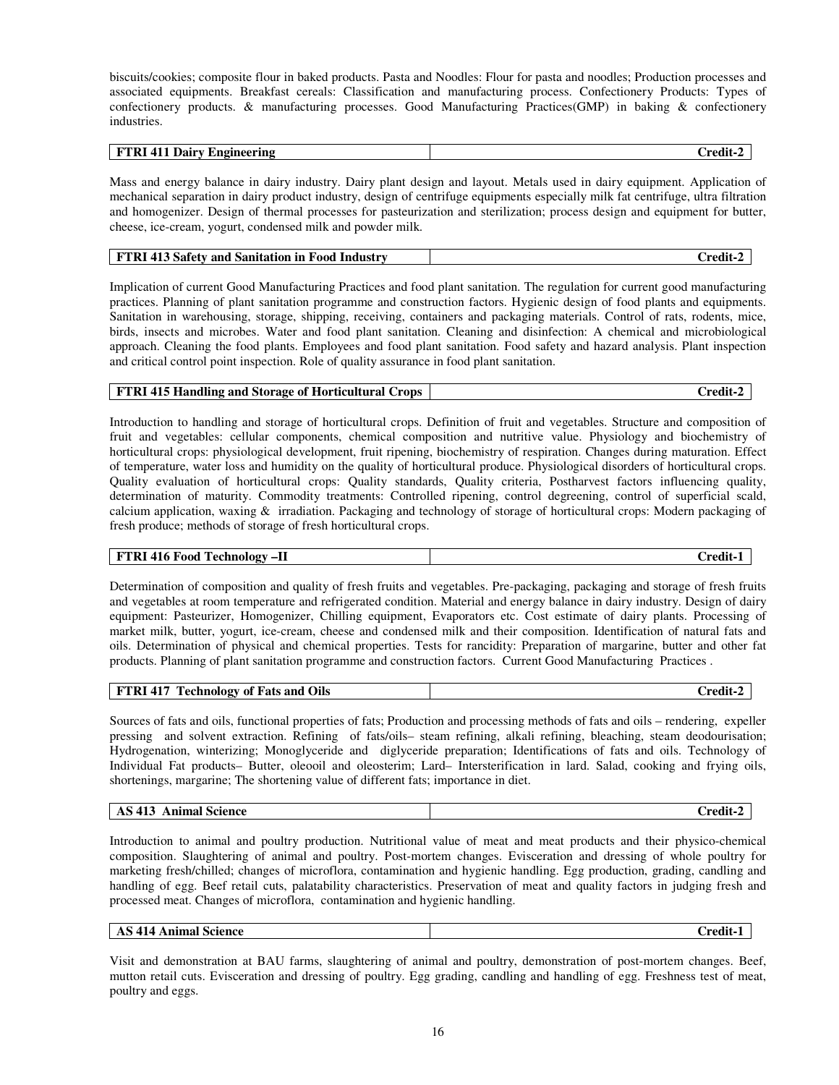biscuits/cookies; composite flour in baked products. Pasta and Noodles: Flour for pasta and noodles; Production processes and associated equipments. Breakfast cereals: Classification and manufacturing process. Confectionery Products: Types of confectionery products. & manufacturing processes. Good Manufacturing Practices(GMP) in baking & confectionery industries.

| א היי<br>Knoi<br>.<br><br>.<br>.<br>------ | --<br>้าgineering<br> |  |
|--------------------------------------------|-----------------------|--|
|--------------------------------------------|-----------------------|--|

Mass and energy balance in dairy industry. Dairy plant design and layout. Metals used in dairy equipment. Application of mechanical separation in dairy product industry, design of centrifuge equipments especially milk fat centrifuge, ultra filtration and homogenizer. Design of thermal processes for pasteurization and sterilization; process design and equipment for butter, cheese, ice-cream, yogurt, condensed milk and powder milk.

| <b>FTRI 413 Safety</b>            | $\mathbf{r}$ |
|-----------------------------------|--------------|
| v and Sanitation in Food Industry | Credit-2     |

Implication of current Good Manufacturing Practices and food plant sanitation. The regulation for current good manufacturing practices. Planning of plant sanitation programme and construction factors. Hygienic design of food plants and equipments. Sanitation in warehousing, storage, shipping, receiving, containers and packaging materials. Control of rats, rodents, mice, birds, insects and microbes. Water and food plant sanitation. Cleaning and disinfection: A chemical and microbiological approach. Cleaning the food plants. Employees and food plant sanitation. Food safety and hazard analysis. Plant inspection and critical control point inspection. Role of quality assurance in food plant sanitation.

#### **FTRI 415 Handling and Storage of Horticultural Crops Credit-2 Credit-2 Credit-2**

Introduction to handling and storage of horticultural crops. Definition of fruit and vegetables. Structure and composition of fruit and vegetables: cellular components, chemical composition and nutritive value. Physiology and biochemistry of horticultural crops: physiological development, fruit ripening, biochemistry of respiration. Changes during maturation. Effect of temperature, water loss and humidity on the quality of horticultural produce. Physiological disorders of horticultural crops. Quality evaluation of horticultural crops: Quality standards, Quality criteria, Postharvest factors influencing quality, determination of maturity. Commodity treatments: Controlled ripening, control degreening, control of superficial scald, calcium application, waxing  $\&$  irradiation. Packaging and technology of storage of horticultural crops: Modern packaging of fresh produce; methods of storage of fresh horticultural crops.

**FTRI 416 Food Technology –II Credit-1** 

Determination of composition and quality of fresh fruits and vegetables. Pre-packaging, packaging and storage of fresh fruits and vegetables at room temperature and refrigerated condition. Material and energy balance in dairy industry. Design of dairy equipment: Pasteurizer, Homogenizer, Chilling equipment, Evaporators etc. Cost estimate of dairy plants. Processing of market milk, butter, yogurt, ice-cream, cheese and condensed milk and their composition. Identification of natural fats and oils. Determination of physical and chemical properties. Tests for rancidity: Preparation of margarine, butter and other fat products. Planning of plant sanitation programme and construction factors. Current Good Manufacturing Practices .

| <b>FTRI 417 Technology of Fats and Oils</b> | -redit- |
|---------------------------------------------|---------|
|---------------------------------------------|---------|

Sources of fats and oils, functional properties of fats; Production and processing methods of fats and oils – rendering, expeller pressing and solvent extraction. Refining of fats/oils– steam refining, alkali refining, bleaching, steam deodourisation; Hydrogenation, winterizing; Monoglyceride and diglyceride preparation; Identifications of fats and oils. Technology of Individual Fat products– Butter, oleooil and oleosterim; Lard– Intersterification in lard. Salad, cooking and frying oils, shortenings, margarine; The shortening value of different fats; importance in diet.

| ' Science<br>Animal<br>- 415<br>AU | ˈredit |
|------------------------------------|--------|
|                                    |        |

Introduction to animal and poultry production. Nutritional value of meat and meat products and their physico-chemical composition. Slaughtering of animal and poultry. Post-mortem changes. Evisceration and dressing of whole poultry for marketing fresh/chilled; changes of microflora, contamination and hygienic handling. Egg production, grading, candling and handling of egg. Beef retail cuts, palatability characteristics. Preservation of meat and quality factors in judging fresh and processed meat. Changes of microflora, contamination and hygienic handling.

| Science<br>Animal<br>ÆО<br>. | 'rodit<br>5U.I |
|------------------------------|----------------|
|                              |                |

Visit and demonstration at BAU farms, slaughtering of animal and poultry, demonstration of post-mortem changes. Beef, mutton retail cuts. Evisceration and dressing of poultry. Egg grading, candling and handling of egg. Freshness test of meat, poultry and eggs.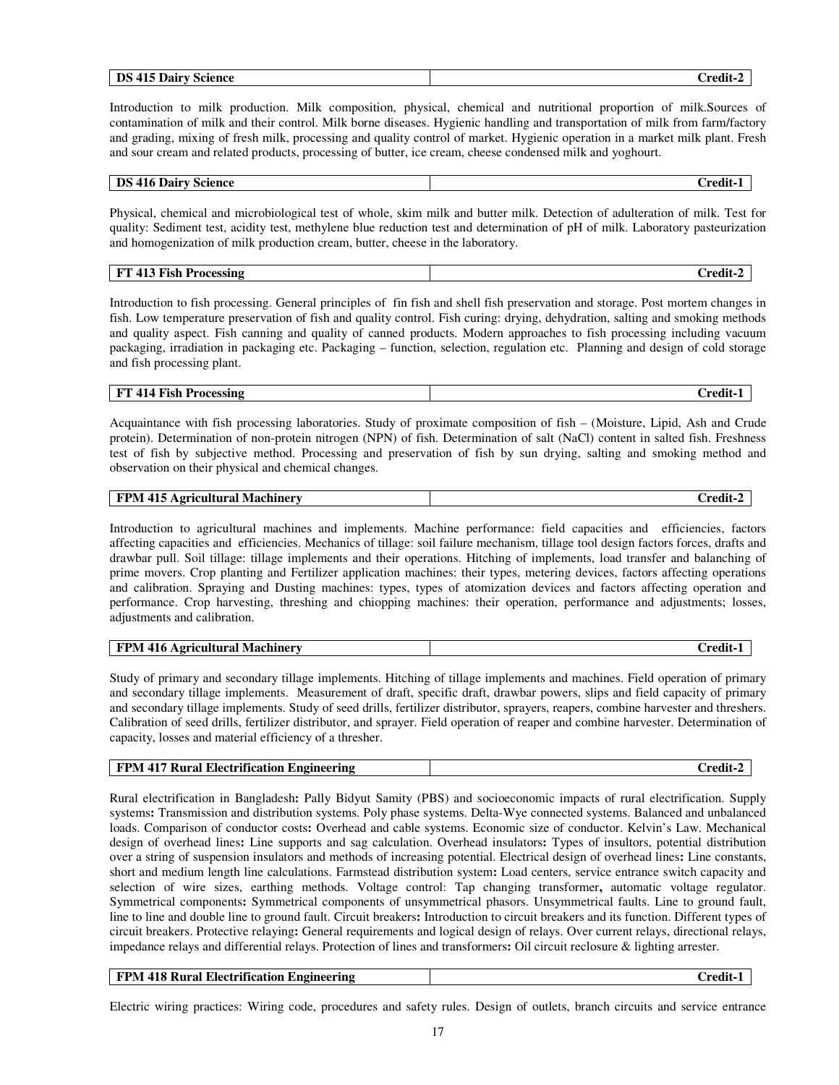| DS<br>Dairy<br>' 1 /<br>Science<br>$\overline{ }$<br>715<br>$\sim$ | .<br>$\sim$<br>`redit |
|--------------------------------------------------------------------|-----------------------|
|                                                                    |                       |

Introduction to milk production. Milk composition, physical, chemical and nutritional proportion of milk.Sources of contamination of milk and their control. Milk borne diseases. Hygienic handling and transportation of milk from farm/factory and grading, mixing of fresh milk, processing and quality control of market. Hygienic operation in a market milk plant. Fresh and sour cream and related products, processing of butter, ice cream, cheese condensed milk and yoghourt.

### **DS 416 Dairy Science Credit-1 Credit-1**

Physical, chemical and microbiological test of whole, skim milk and butter milk. Detection of adulteration of milk. Test for quality: Sediment test, acidity test, methylene blue reduction test and determination of pH of milk. Laboratory pasteurization and homogenization of milk production cream, butter, cheese in the laboratory.

| <b>TOP</b><br>. .<br>Fish<br>Processing<br>$\blacksquare$<br>- | 'rodit<br>______ |
|----------------------------------------------------------------|------------------|
|----------------------------------------------------------------|------------------|

Introduction to fish processing. General principles of fin fish and shell fish preservation and storage. Post mortem changes in fish. Low temperature preservation of fish and quality control. Fish curing: drying, dehydration, salting and smoking methods and quality aspect. Fish canning and quality of canned products. Modern approaches to fish processing including vacuum packaging, irradiation in packaging etc. Packaging – function, selection, regulation etc. Planning and design of cold storage and fish processing plant.

### **FT 414 Fish Processing Credit-1 Credit-1**

Acquaintance with fish processing laboratories. Study of proximate composition of fish – (Moisture, Lipid, Ash and Crude protein). Determination of non-protein nitrogen (NPN) of fish. Determination of salt (NaCl) content in salted fish. Freshness test of fish by subjective method. Processing and preservation of fish by sun drying, salting and smoking method and observation on their physical and chemical changes.

| <b>FPM 415</b>           | $\cdots$ |
|--------------------------|----------|
| Agricultural Machinery / | Credit   |
|                          |          |

Introduction to agricultural machines and implements. Machine performance: field capacities and efficiencies, factors affecting capacities and efficiencies. Mechanics of tillage: soil failure mechanism, tillage tool design factors forces, drafts and drawbar pull. Soil tillage: tillage implements and their operations. Hitching of implements, load transfer and balanching of prime movers. Crop planting and Fertilizer application machines: their types, metering devices, factors affecting operations and calibration. Spraying and Dusting machines: types, types of atomization devices and factors affecting operation and performance. Crop harvesting, threshing and chiopping machines: their operation, performance and adjustments; losses, adjustments and calibration.

| FPM<br>416<br>  Machinerv<br><b>Agricultural</b> | `rodit. |
|--------------------------------------------------|---------|
|                                                  |         |

Study of primary and secondary tillage implements. Hitching of tillage implements and machines. Field operation of primary and secondary tillage implements. Measurement of draft, specific draft, drawbar powers, slips and field capacity of primary and secondary tillage implements. Study of seed drills, fertilizer distributor, sprayers, reapers, combine harvester and threshers. Calibration of seed drills, fertilizer distributor, and sprayer. Field operation of reaper and combine harvester. Determination of capacity, losses and material efficiency of a thresher.

| <b>FPM 417 Rural Electrification</b><br>. Engineering<br>redit |
|----------------------------------------------------------------|
|----------------------------------------------------------------|

Rural electrification in Bangladesh**:** Pally Bidyut Samity (PBS) and socioeconomic impacts of rural electrification. Supply systems**:** Transmission and distribution systems. Poly phase systems. Delta-Wye connected systems. Balanced and unbalanced loads. Comparison of conductor costs**:** Overhead and cable systems. Economic size of conductor. Kelvin's Law. Mechanical design of overhead lines**:** Line supports and sag calculation. Overhead insulators**:** Types of insultors, potential distribution over a string of suspension insulators and methods of increasing potential. Electrical design of overhead lines**:** Line constants, short and medium length line calculations. Farmstead distribution system**:** Load centers, service entrance switch capacity and selection of wire sizes, earthing methods. Voltage control: Tap changing transformer**,** automatic voltage regulator. Symmetrical components**:** Symmetrical components of unsymmetrical phasors. Unsymmetrical faults. Line to ground fault, line to line and double line to ground fault. Circuit breakers**:** Introduction to circuit breakers and its function. Different types of circuit breakers. Protective relaying**:** General requirements and logical design of relays. Over current relays, directional relays, impedance relays and differential relays. Protection of lines and transformers**:** Oil circuit reclosure & lighting arrester.

| <b>FPM 418 Rural Electrification Engineering</b> | Credit-1 |
|--------------------------------------------------|----------|
|                                                  |          |

Electric wiring practices: Wiring code, procedures and safety rules. Design of outlets, branch circuits and service entrance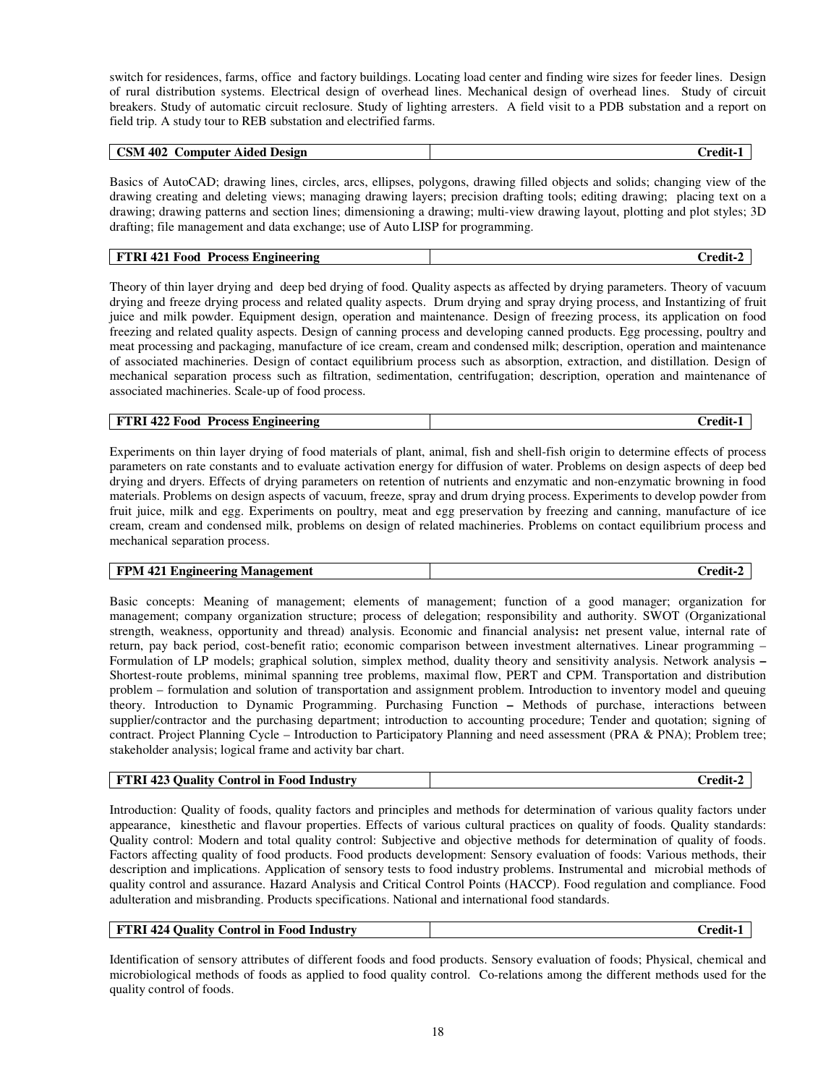switch for residences, farms, office and factory buildings. Locating load center and finding wire sizes for feeder lines. Design of rural distribution systems. Electrical design of overhead lines. Mechanical design of overhead lines. Study of circuit breakers. Study of automatic circuit reclosure. Study of lighting arresters. A field visit to a PDB substation and a report on field trip. A study tour to REB substation and electrified farms.

| <b>CSM</b><br>402<br>Computer Aided Design | <br>redit-! |
|--------------------------------------------|-------------|
|--------------------------------------------|-------------|

Basics of AutoCAD; drawing lines, circles, arcs, ellipses, polygons, drawing filled objects and solids; changing view of the drawing creating and deleting views; managing drawing layers; precision drafting tools; editing drawing; placing text on a drawing; drawing patterns and section lines; dimensioning a drawing; multi-view drawing layout, plotting and plot styles; 3D drafting; file management and data exchange; use of Auto LISP for programming.

| 421 F<br>FTRI<br>Process.<br>- Food<br><b>Engineering</b> | redit<br>◡ |
|-----------------------------------------------------------|------------|
|-----------------------------------------------------------|------------|

Theory of thin layer drying and deep bed drying of food. Quality aspects as affected by drying parameters. Theory of vacuum drying and freeze drying process and related quality aspects. Drum drying and spray drying process, and Instantizing of fruit juice and milk powder. Equipment design, operation and maintenance. Design of freezing process, its application on food freezing and related quality aspects. Design of canning process and developing canned products. Egg processing, poultry and meat processing and packaging, manufacture of ice cream, cream and condensed milk; description, operation and maintenance of associated machineries. Design of contact equilibrium process such as absorption, extraction, and distillation. Design of mechanical separation process such as filtration, sedimentation, centrifugation; description, operation and maintenance of associated machineries. Scale-up of food process.

| $-422F$<br><b>FTRI</b><br><b>Process L.</b><br>Food<br>: Engineering<br>redit |
|-------------------------------------------------------------------------------|
|-------------------------------------------------------------------------------|

Experiments on thin layer drying of food materials of plant, animal, fish and shell-fish origin to determine effects of process parameters on rate constants and to evaluate activation energy for diffusion of water. Problems on design aspects of deep bed drying and dryers. Effects of drying parameters on retention of nutrients and enzymatic and non-enzymatic browning in food materials. Problems on design aspects of vacuum, freeze, spray and drum drying process. Experiments to develop powder from fruit juice, milk and egg. Experiments on poultry, meat and egg preservation by freezing and canning, manufacture of ice cream, cream and condensed milk, problems on design of related machineries. Problems on contact equilibrium process and mechanical separation process.

| <b>FPM 421</b>           |        |
|--------------------------|--------|
| L Engineering Management | redit- |
|                          |        |

Basic concepts: Meaning of management; elements of management; function of a good manager; organization for management; company organization structure; process of delegation; responsibility and authority. SWOT (Organizational strength, weakness, opportunity and thread) analysis. Economic and financial analysis**:** net present value, internal rate of return, pay back period, cost-benefit ratio; economic comparison between investment alternatives. Linear programming – Formulation of LP models; graphical solution, simplex method, duality theory and sensitivity analysis. Network analysis **–** Shortest-route problems, minimal spanning tree problems, maximal flow, PERT and CPM. Transportation and distribution problem – formulation and solution of transportation and assignment problem. Introduction to inventory model and queuing theory. Introduction to Dynamic Programming. Purchasing Function **–** Methods of purchase, interactions between supplier/contractor and the purchasing department; introduction to accounting procedure; Tender and quotation; signing of contract. Project Planning Cycle – Introduction to Participatory Planning and need assessment (PRA & PNA); Problem tree; stakeholder analysis; logical frame and activity bar chart.

| FTRI 423 Ouality Control in Food Industry | Credit- |
|-------------------------------------------|---------|
|                                           |         |

Introduction: Quality of foods, quality factors and principles and methods for determination of various quality factors under appearance, kinesthetic and flavour properties. Effects of various cultural practices on quality of foods. Quality standards: Quality control: Modern and total quality control: Subjective and objective methods for determination of quality of foods. Factors affecting quality of food products. Food products development: Sensory evaluation of foods: Various methods, their description and implications. Application of sensory tests to food industry problems. Instrumental and microbial methods of quality control and assurance. Hazard Analysis and Critical Control Points (HACCP). Food regulation and compliance. Food adulteration and misbranding. Products specifications. National and international food standards.

| 424 Ouality<br><b>FTRI</b><br>Control in Food<br><b>Industry</b> | ∪redit- ⊓ |
|------------------------------------------------------------------|-----------|
|------------------------------------------------------------------|-----------|

Identification of sensory attributes of different foods and food products. Sensory evaluation of foods; Physical, chemical and microbiological methods of foods as applied to food quality control. Co-relations among the different methods used for the quality control of foods.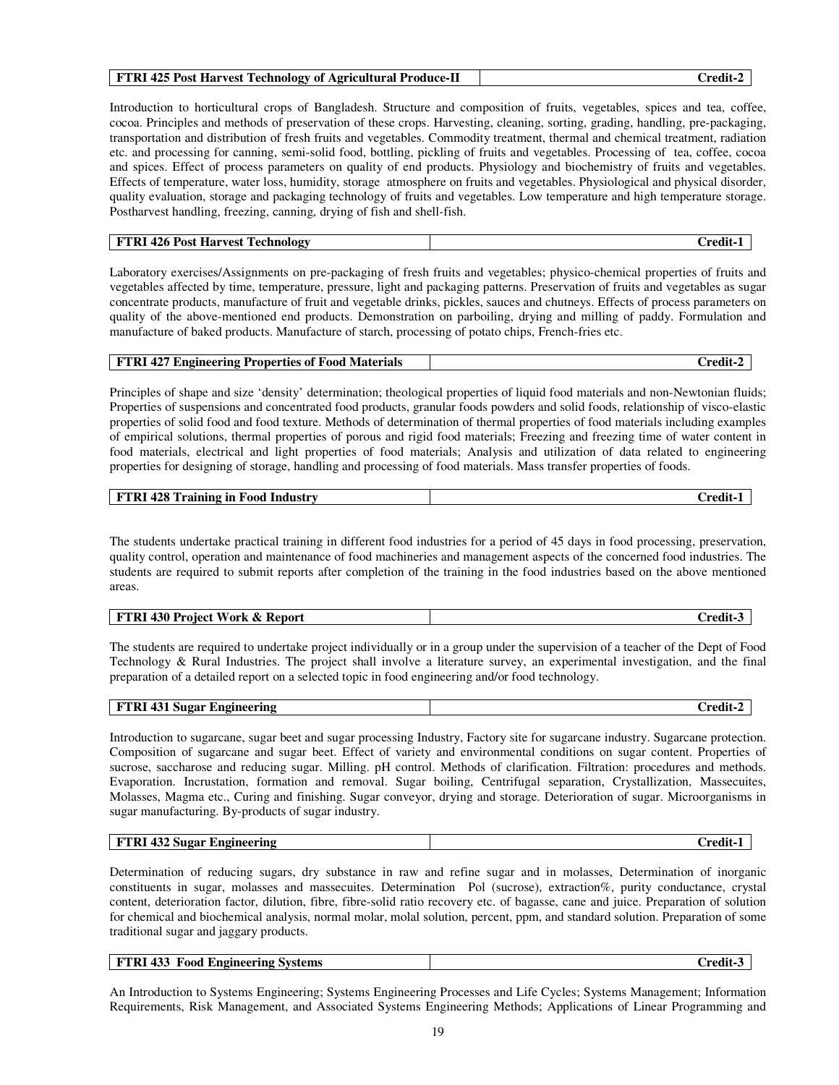### **FTRI 425 Post Harvest Technology of Agricultural Produce-II Credit-2**

Introduction to horticultural crops of Bangladesh. Structure and composition of fruits, vegetables, spices and tea, coffee, cocoa. Principles and methods of preservation of these crops. Harvesting, cleaning, sorting, grading, handling, pre-packaging, transportation and distribution of fresh fruits and vegetables. Commodity treatment, thermal and chemical treatment, radiation etc. and processing for canning, semi-solid food, bottling, pickling of fruits and vegetables. Processing of tea, coffee, cocoa and spices. Effect of process parameters on quality of end products. Physiology and biochemistry of fruits and vegetables. Effects of temperature, water loss, humidity, storage atmosphere on fruits and vegetables. Physiological and physical disorder, quality evaluation, storage and packaging technology of fruits and vegetables. Low temperature and high temperature storage. Postharvest handling, freezing, canning, drying of fish and shell-fish.

| <b>Harvest T</b><br>426 Post<br>FTRI<br>rechnology<br>∼. | `rodi:<br>uuu |
|----------------------------------------------------------|---------------|
|----------------------------------------------------------|---------------|

Laboratory exercises/Assignments on pre-packaging of fresh fruits and vegetables; physico-chemical properties of fruits and vegetables affected by time, temperature, pressure, light and packaging patterns. Preservation of fruits and vegetables as sugar concentrate products, manufacture of fruit and vegetable drinks, pickles, sauces and chutneys. Effects of process parameters on quality of the above-mentioned end products. Demonstration on parboiling, drying and milling of paddy. Formulation and manufacture of baked products. Manufacture of starch, processing of potato chips, French-fries etc.

|  | <b>FTRI 427 Engineering Properties of Food Materials</b> | Credit-2 |
|--|----------------------------------------------------------|----------|
|--|----------------------------------------------------------|----------|

Principles of shape and size 'density' determination; theological properties of liquid food materials and non-Newtonian fluids; Properties of suspensions and concentrated food products, granular foods powders and solid foods, relationship of visco-elastic properties of solid food and food texture. Methods of determination of thermal properties of food materials including examples of empirical solutions, thermal properties of porous and rigid food materials; Freezing and freezing time of water content in food materials, electrical and light properties of food materials; Analysis and utilization of data related to engineering properties for designing of storage, handling and processing of food materials. Mass transfer properties of foods.

| <b>FTRI 428 Training in Food</b> | `nod |
|----------------------------------|------|
| ' Industry                       | vul. |
|                                  |      |

The students undertake practical training in different food industries for a period of 45 days in food processing, preservation, quality control, operation and maintenance of food machineries and management aspects of the concerned food industries. The students are required to submit reports after completion of the training in the food industries based on the above mentioned areas.

| FTRI 430 Project Work & Report | Credit- |
|--------------------------------|---------|
|--------------------------------|---------|

The students are required to undertake project individually or in a group under the supervision of a teacher of the Dept of Food Technology & Rural Industries. The project shall involve a literature survey, an experimental investigation, and the final preparation of a detailed report on a selected topic in food engineering and/or food technology.

| FTRI 431 Sugar Engineering | <br>∴redit-^ |
|----------------------------|--------------|
|----------------------------|--------------|

Introduction to sugarcane, sugar beet and sugar processing Industry, Factory site for sugarcane industry. Sugarcane protection. Composition of sugarcane and sugar beet. Effect of variety and environmental conditions on sugar content. Properties of sucrose, saccharose and reducing sugar. Milling. pH control. Methods of clarification. Filtration: procedures and methods. Evaporation. Incrustation, formation and removal. Sugar boiling, Centrifugal separation, Crystallization, Massecuites, Molasses, Magma etc., Curing and finishing. Sugar conveyor, drying and storage. Deterioration of sugar. Microorganisms in sugar manufacturing. By-products of sugar industry.

| 1432 <sup>c</sup><br>FTRI<br>.2 Sugar<br><sup>.</sup> Engineering | <br>redit- |
|-------------------------------------------------------------------|------------|
|-------------------------------------------------------------------|------------|

Determination of reducing sugars, dry substance in raw and refine sugar and in molasses, Determination of inorganic constituents in sugar, molasses and massecuites. Determination Pol (sucrose), extraction%, purity conductance, crystal content, deterioration factor, dilution, fibre, fibre-solid ratio recovery etc. of bagasse, cane and juice. Preparation of solution for chemical and biochemical analysis, normal molar, molal solution, percent, ppm, and standard solution. Preparation of some traditional sugar and jaggary products.

| <b>FTRI 433 Food Engineering Systems</b> | <b>Credit-</b> |
|------------------------------------------|----------------|
|                                          |                |

An Introduction to Systems Engineering; Systems Engineering Processes and Life Cycles; Systems Management; Information Requirements, Risk Management, and Associated Systems Engineering Methods; Applications of Linear Programming and